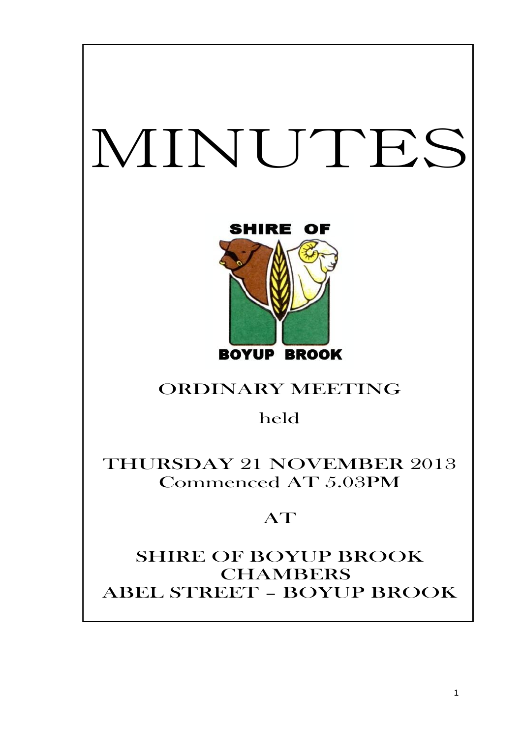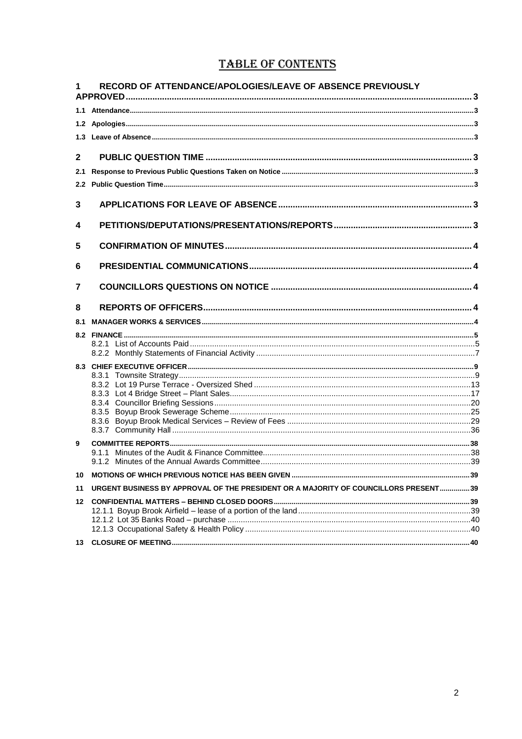# **TABLE OF CONTENTS**

|               | RECORD OF ATTENDANCE/APOLOGIES/LEAVE OF ABSENCE PREVIOUSLY                          |  |
|---------------|-------------------------------------------------------------------------------------|--|
|               |                                                                                     |  |
|               |                                                                                     |  |
|               |                                                                                     |  |
| $\mathbf{2}$  |                                                                                     |  |
| 2.1           |                                                                                     |  |
| $2.2^{\circ}$ |                                                                                     |  |
| 3             |                                                                                     |  |
| 4             |                                                                                     |  |
| 5             |                                                                                     |  |
| 6             |                                                                                     |  |
| 7             |                                                                                     |  |
| 8             |                                                                                     |  |
| 8.1           |                                                                                     |  |
|               |                                                                                     |  |
|               |                                                                                     |  |
|               |                                                                                     |  |
|               |                                                                                     |  |
|               |                                                                                     |  |
|               |                                                                                     |  |
|               |                                                                                     |  |
|               |                                                                                     |  |
|               |                                                                                     |  |
|               |                                                                                     |  |
| 9             |                                                                                     |  |
|               | 9.1.1                                                                               |  |
| 10            |                                                                                     |  |
| 11            | URGENT BUSINESS BY APPROVAL OF THE PRESIDENT OR A MAJORITY OF COUNCILLORS PRESENT39 |  |
|               |                                                                                     |  |
|               |                                                                                     |  |
|               |                                                                                     |  |
|               |                                                                                     |  |
| 13            |                                                                                     |  |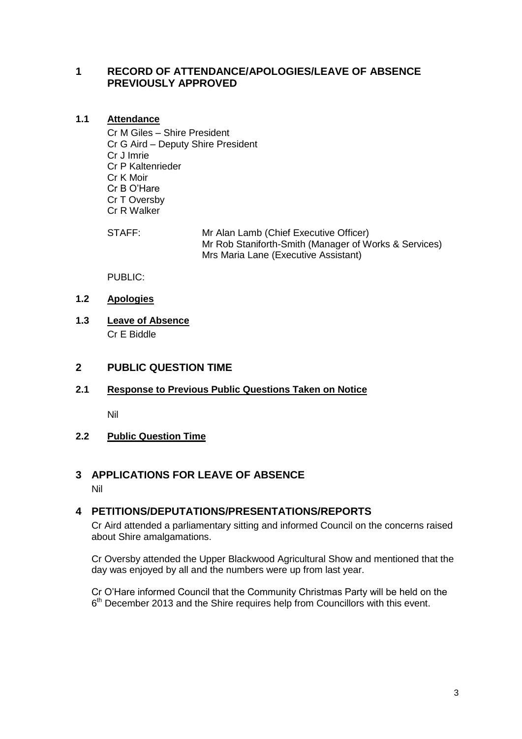# <span id="page-2-0"></span>**1 RECORD OF ATTENDANCE/APOLOGIES/LEAVE OF ABSENCE PREVIOUSLY APPROVED**

# <span id="page-2-1"></span>**1.1 Attendance**

Cr M Giles – Shire President Cr G Aird – Deputy Shire President Cr J Imrie Cr P Kaltenrieder Cr K Moir Cr B O'Hare Cr T Oversby Cr R Walker

STAFF: Mr Alan Lamb (Chief Executive Officer) Mr Rob Staniforth-Smith (Manager of Works & Services) Mrs Maria Lane (Executive Assistant)

PUBLIC:

- <span id="page-2-2"></span>**1.2 Apologies**
- <span id="page-2-3"></span>**1.3 Leave of Absence** Cr E Biddle

# <span id="page-2-4"></span>**2 PUBLIC QUESTION TIME**

# <span id="page-2-5"></span>**2.1 Response to Previous Public Questions Taken on Notice**

Nil

# <span id="page-2-6"></span>**2.2 Public Question Time**

# <span id="page-2-7"></span>**3 APPLICATIONS FOR LEAVE OF ABSENCE**

Nil

# <span id="page-2-8"></span>**4 PETITIONS/DEPUTATIONS/PRESENTATIONS/REPORTS**

Cr Aird attended a parliamentary sitting and informed Council on the concerns raised about Shire amalgamations.

Cr Oversby attended the Upper Blackwood Agricultural Show and mentioned that the day was enjoyed by all and the numbers were up from last year.

Cr O'Hare informed Council that the Community Christmas Party will be held on the 6<sup>th</sup> December 2013 and the Shire requires help from Councillors with this event.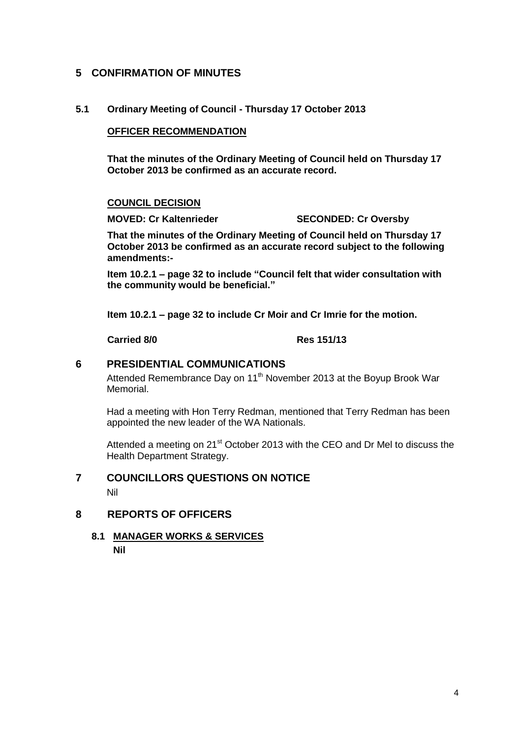# <span id="page-3-0"></span>**5 CONFIRMATION OF MINUTES**

# **5.1 Ordinary Meeting of Council - Thursday 17 October 2013**

# **OFFICER RECOMMENDATION**

**That the minutes of the Ordinary Meeting of Council held on Thursday 17 October 2013 be confirmed as an accurate record.**

## **COUNCIL DECISION**

**MOVED: Cr Kaltenrieder SECONDED: Cr Oversby**

**That the minutes of the Ordinary Meeting of Council held on Thursday 17 October 2013 be confirmed as an accurate record subject to the following amendments:-**

**Item 10.2.1 – page 32 to include "Council felt that wider consultation with the community would be beneficial."**

**Item 10.2.1 – page 32 to include Cr Moir and Cr Imrie for the motion.**

## **Carried 8/0 Res 151/13**

# <span id="page-3-1"></span>**6 PRESIDENTIAL COMMUNICATIONS**

Attended Remembrance Day on 11<sup>th</sup> November 2013 at the Boyup Brook War Memorial.

Had a meeting with Hon Terry Redman, mentioned that Terry Redman has been appointed the new leader of the WA Nationals.

Attended a meeting on 21<sup>st</sup> October 2013 with the CEO and Dr Mel to discuss the Health Department Strategy.

# <span id="page-3-2"></span>**7 COUNCILLORS QUESTIONS ON NOTICE**

Nil

# <span id="page-3-4"></span><span id="page-3-3"></span>**8 REPORTS OF OFFICERS**

**8.1 MANAGER WORKS & SERVICES Nil**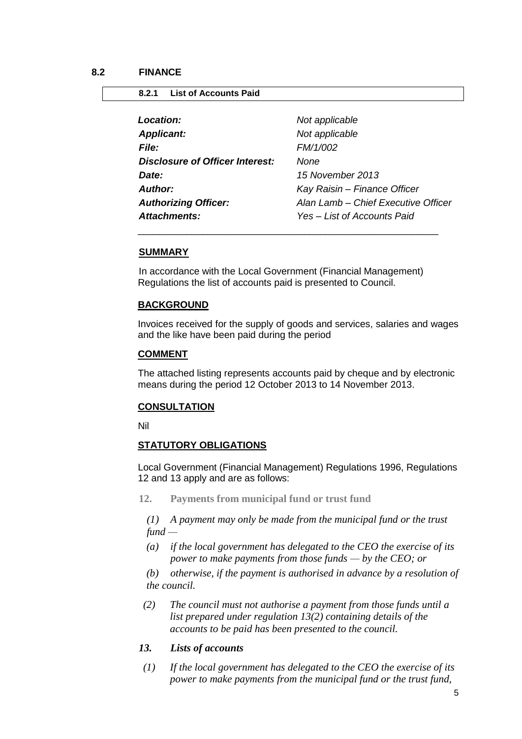# <span id="page-4-1"></span><span id="page-4-0"></span>**8.2.1 List of Accounts Paid**

| <b>Location:</b>                       | Not applicable                      |
|----------------------------------------|-------------------------------------|
| <b>Applicant:</b>                      | Not applicable                      |
| <b>File:</b>                           | FM/1/002                            |
| <b>Disclosure of Officer Interest:</b> | None                                |
| Date:                                  | 15 November 2013                    |
| Author:                                | Kay Raisin - Finance Officer        |
| <b>Authorizing Officer:</b>            | Alan Lamb - Chief Executive Officer |
| Attachments:                           | Yes - List of Accounts Paid         |

### **SUMMARY**

In accordance with the Local Government (Financial Management) Regulations the list of accounts paid is presented to Council.

\_\_\_\_\_\_\_\_\_\_\_\_\_\_\_\_\_\_\_\_\_\_\_\_\_\_\_\_\_\_\_\_\_\_\_\_\_\_\_\_\_\_\_\_\_\_\_\_\_\_\_\_\_\_\_\_

## **BACKGROUND**

Invoices received for the supply of goods and services, salaries and wages and the like have been paid during the period

## **COMMENT**

The attached listing represents accounts paid by cheque and by electronic means during the period 12 October 2013 to 14 November 2013.

## **CONSULTATION**

Nil

## **STATUTORY OBLIGATIONS**

Local Government (Financial Management) Regulations 1996, Regulations 12 and 13 apply and are as follows:

**12. Payments from municipal fund or trust fund**

*(1) A payment may only be made from the municipal fund or the trust fund —*

*(a) if the local government has delegated to the CEO the exercise of its power to make payments from those funds — by the CEO; or*

*(b) otherwise, if the payment is authorised in advance by a resolution of the council.*

- *(2) The council must not authorise a payment from those funds until a list prepared under regulation 13(2) containing details of the accounts to be paid has been presented to the council.*
- *13. Lists of accounts*
- *(1) If the local government has delegated to the CEO the exercise of its power to make payments from the municipal fund or the trust fund,*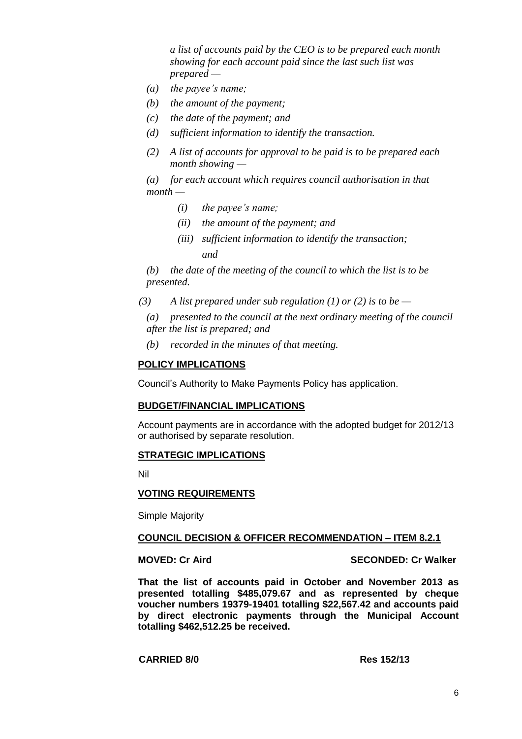*a list of accounts paid by the CEO is to be prepared each month showing for each account paid since the last such list was prepared —*

- *(a) the payee's name;*
- *(b) the amount of the payment;*
- *(c) the date of the payment; and*
- *(d) sufficient information to identify the transaction.*
- *(2) A list of accounts for approval to be paid is to be prepared each month showing —*

*(a) for each account which requires council authorisation in that month —*

- *(i) the payee's name;*
- *(ii) the amount of the payment; and*
- *(iii) sufficient information to identify the transaction; and*

*(b) the date of the meeting of the council to which the list is to be presented.*

*(3) A list prepared under sub regulation (1) or (2) is to be —*

*(a) presented to the council at the next ordinary meeting of the council after the list is prepared; and*

*(b) recorded in the minutes of that meeting.*

## **POLICY IMPLICATIONS**

Council's Authority to Make Payments Policy has application.

## **BUDGET/FINANCIAL IMPLICATIONS**

Account payments are in accordance with the adopted budget for 2012/13 or authorised by separate resolution.

## **STRATEGIC IMPLICATIONS**

Nil

## **VOTING REQUIREMENTS**

Simple Majority

## **COUNCIL DECISION & OFFICER RECOMMENDATION – ITEM 8.2.1**

**MOVED: Cr Aird SECONDED: Cr Walker**

**That the list of accounts paid in October and November 2013 as presented totalling \$485,079.67 and as represented by cheque voucher numbers 19379-19401 totalling \$22,567.42 and accounts paid by direct electronic payments through the Municipal Account totalling \$462,512.25 be received.**

**CARRIED 8/0 Res 152/13**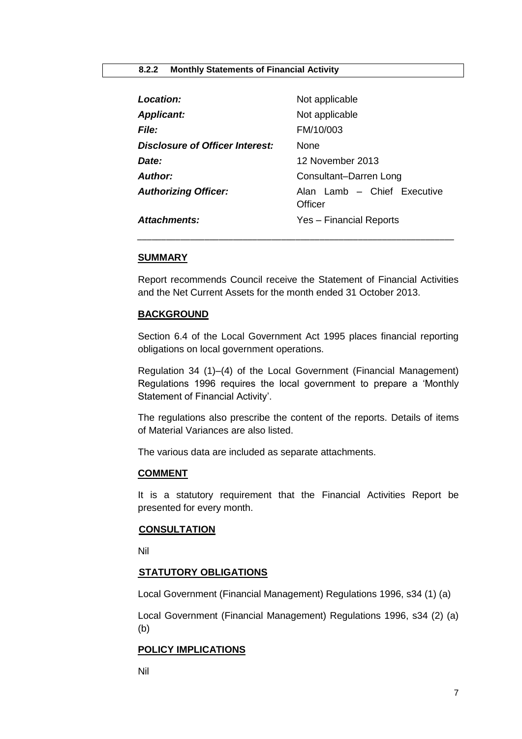## <span id="page-6-0"></span>**8.2.2 Monthly Statements of Financial Activity**

| Location:                       | Not applicable                         |
|---------------------------------|----------------------------------------|
| <b>Applicant:</b>               | Not applicable                         |
| <i>File:</i>                    | FM/10/003                              |
| Disclosure of Officer Interest: | <b>None</b>                            |
| Date:                           | 12 November 2013                       |
| <b>Author:</b>                  | Consultant-Darren Long                 |
| <b>Authorizing Officer:</b>     | Alan Lamb - Chief Executive<br>Officer |
| <b>Attachments:</b>             | Yes - Financial Reports                |

## **SUMMARY**

Report recommends Council receive the Statement of Financial Activities and the Net Current Assets for the month ended 31 October 2013.

## **BACKGROUND**

Section 6.4 of the Local Government Act 1995 places financial reporting obligations on local government operations.

Regulation 34 (1)–(4) of the Local Government (Financial Management) Regulations 1996 requires the local government to prepare a 'Monthly Statement of Financial Activity'.

The regulations also prescribe the content of the reports. Details of items of Material Variances are also listed.

The various data are included as separate attachments.

## **COMMENT**

It is a statutory requirement that the Financial Activities Report be presented for every month.

## **CONSULTATION**

Nil

## **STATUTORY OBLIGATIONS**

Local Government (Financial Management) Regulations 1996, s34 (1) (a)

Local Government (Financial Management) Regulations 1996, s34 (2) (a) (b)

## **POLICY IMPLICATIONS**

Nil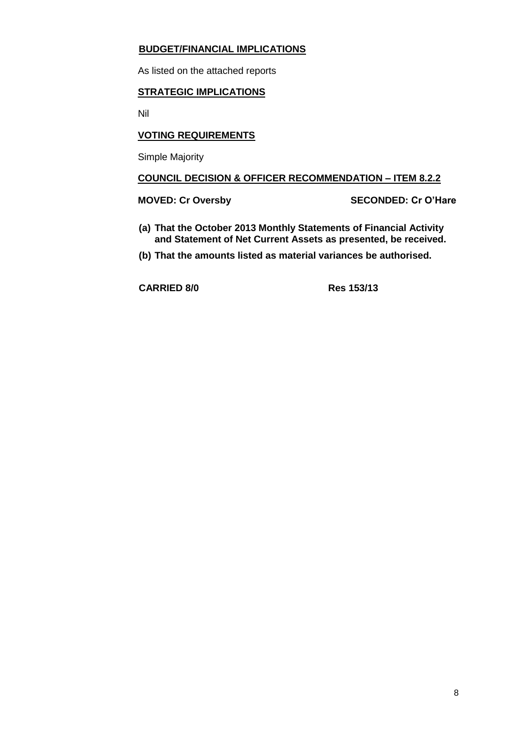# **BUDGET/FINANCIAL IMPLICATIONS**

As listed on the attached reports

# **STRATEGIC IMPLICATIONS**

Nil

# **VOTING REQUIREMENTS**

Simple Majority

# **COUNCIL DECISION & OFFICER RECOMMENDATION – ITEM 8.2.2**

**MOVED: Cr Oversby SECONDED: Cr O'Hare**

- **(a) That the October 2013 Monthly Statements of Financial Activity and Statement of Net Current Assets as presented, be received.**
- **(b) That the amounts listed as material variances be authorised.**

**CARRIED 8/0 Res 153/13**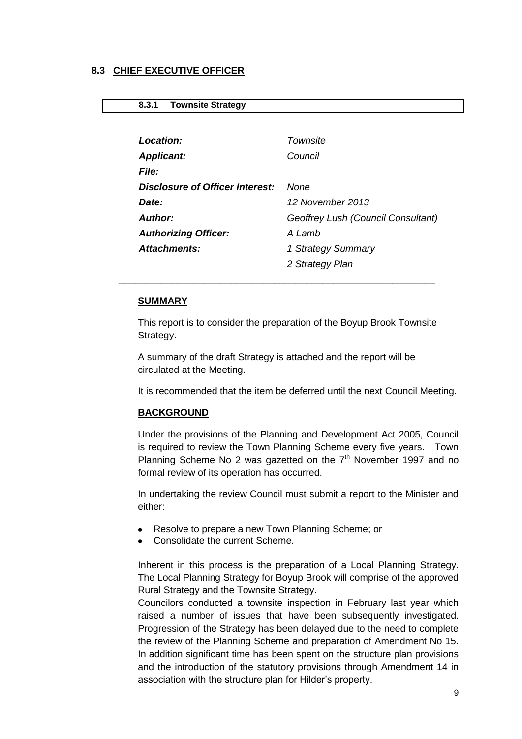## <span id="page-8-0"></span>**8.3 CHIEF EXECUTIVE OFFICER**

## <span id="page-8-1"></span>**8.3.1 Townsite Strategy**

| Location:                              | Townsite                           |
|----------------------------------------|------------------------------------|
| <b>Applicant:</b>                      | Council                            |
| <b>File:</b>                           |                                    |
| <b>Disclosure of Officer Interest:</b> | None                               |
| Date:                                  | 12 November 2013                   |
| <b>Author:</b>                         | Geoffrey Lush (Council Consultant) |
| <b>Authorizing Officer:</b>            | A Lamb                             |
| <b>Attachments:</b>                    | 1 Strategy Summary                 |
|                                        | 2 Strategy Plan                    |

## **SUMMARY**

This report is to consider the preparation of the Boyup Brook Townsite Strategy.

A summary of the draft Strategy is attached and the report will be circulated at the Meeting.

*\_\_\_\_\_\_\_\_\_\_\_\_\_\_\_\_\_\_\_\_\_\_\_\_\_\_\_\_\_\_\_\_\_\_\_\_\_\_\_\_\_\_\_\_\_\_\_\_\_\_\_\_\_\_\_\_\_\_\_*

It is recommended that the item be deferred until the next Council Meeting.

## **BACKGROUND**

Under the provisions of the Planning and Development Act 2005, Council is required to review the Town Planning Scheme every five years. Town Planning Scheme No 2 was gazetted on the  $7<sup>th</sup>$  November 1997 and no formal review of its operation has occurred.

In undertaking the review Council must submit a report to the Minister and either:

- Resolve to prepare a new Town Planning Scheme; or
- Consolidate the current Scheme.

Inherent in this process is the preparation of a Local Planning Strategy. The Local Planning Strategy for Boyup Brook will comprise of the approved Rural Strategy and the Townsite Strategy.

Councilors conducted a townsite inspection in February last year which raised a number of issues that have been subsequently investigated. Progression of the Strategy has been delayed due to the need to complete the review of the Planning Scheme and preparation of Amendment No 15. In addition significant time has been spent on the structure plan provisions and the introduction of the statutory provisions through Amendment 14 in association with the structure plan for Hilder's property.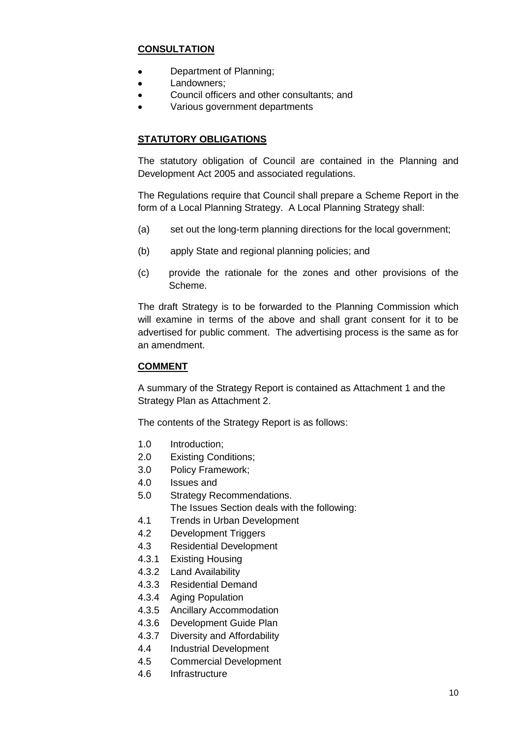# **CONSULTATION**

- Department of Planning;
- Landowners;  $\bullet$
- Council officers and other consultants; and  $\bullet$
- Various government departments

# **STATUTORY OBLIGATIONS**

The statutory obligation of Council are contained in the Planning and Development Act 2005 and associated regulations.

The Regulations require that Council shall prepare a Scheme Report in the form of a Local Planning Strategy. A Local Planning Strategy shall:

- (a) set out the long-term planning directions for the local government;
- (b) apply State and regional planning policies; and
- (c) provide the rationale for the zones and other provisions of the Scheme.

The draft Strategy is to be forwarded to the Planning Commission which will examine in terms of the above and shall grant consent for it to be advertised for public comment. The advertising process is the same as for an amendment.

# **COMMENT**

A summary of the Strategy Report is contained as Attachment 1 and the Strategy Plan as Attachment 2.

The contents of the Strategy Report is as follows:

- 1.0 Introduction;
- 2.0 Existing Conditions;
- 3.0 Policy Framework;
- 4.0 Issues and
- 5.0 Strategy Recommendations.
	- The Issues Section deals with the following:
- 4.1 Trends in Urban Development
- 4.2 Development Triggers
- 4.3 Residential Development
- 4.3.1 Existing Housing
- 4.3.2 Land Availability
- 4.3.3 Residential Demand
- 4.3.4 Aging Population
- 4.3.5 Ancillary Accommodation
- 4.3.6 Development Guide Plan
- 4.3.7 Diversity and Affordability
- 4.4 Industrial Development
- 4.5 Commercial Development
- 4.6 Infrastructure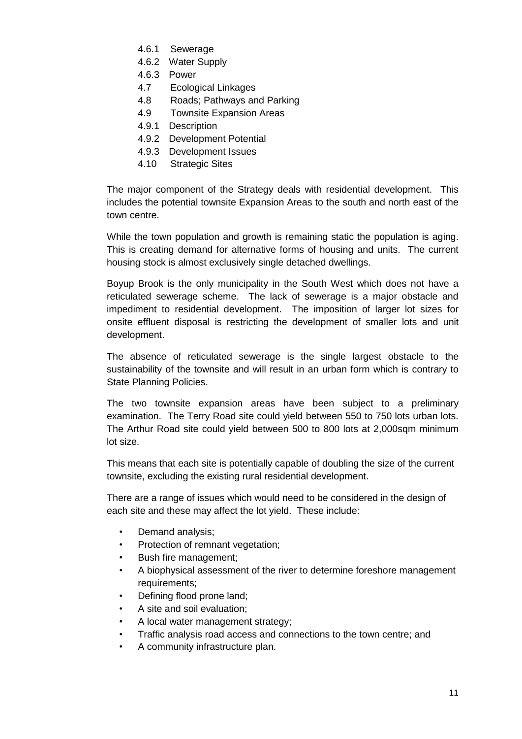- 4.6.1 Sewerage
- 4.6.2 Water Supply
- 4.6.3 Power
- 4.7 Ecological Linkages
- 4.8 Roads; Pathways and Parking
- 4.9 Townsite Expansion Areas
- 4.9.1 Description
- 4.9.2 Development Potential
- 4.9.3 Development Issues
- 4.10 Strategic Sites

The major component of the Strategy deals with residential development. This includes the potential townsite Expansion Areas to the south and north east of the town centre.

While the town population and growth is remaining static the population is aging. This is creating demand for alternative forms of housing and units. The current housing stock is almost exclusively single detached dwellings.

Boyup Brook is the only municipality in the South West which does not have a reticulated sewerage scheme. The lack of sewerage is a major obstacle and impediment to residential development. The imposition of larger lot sizes for onsite effluent disposal is restricting the development of smaller lots and unit development.

The absence of reticulated sewerage is the single largest obstacle to the sustainability of the townsite and will result in an urban form which is contrary to State Planning Policies.

The two townsite expansion areas have been subject to a preliminary examination. The Terry Road site could yield between 550 to 750 lots urban lots. The Arthur Road site could yield between 500 to 800 lots at 2,000sqm minimum lot size.

This means that each site is potentially capable of doubling the size of the current townsite, excluding the existing rural residential development.

There are a range of issues which would need to be considered in the design of each site and these may affect the lot yield. These include:

- Demand analysis;
- Protection of remnant vegetation;
- Bush fire management;
- A biophysical assessment of the river to determine foreshore management requirements;
- Defining flood prone land;
- A site and soil evaluation;
- A local water management strategy:
- Traffic analysis road access and connections to the town centre; and
- A community infrastructure plan.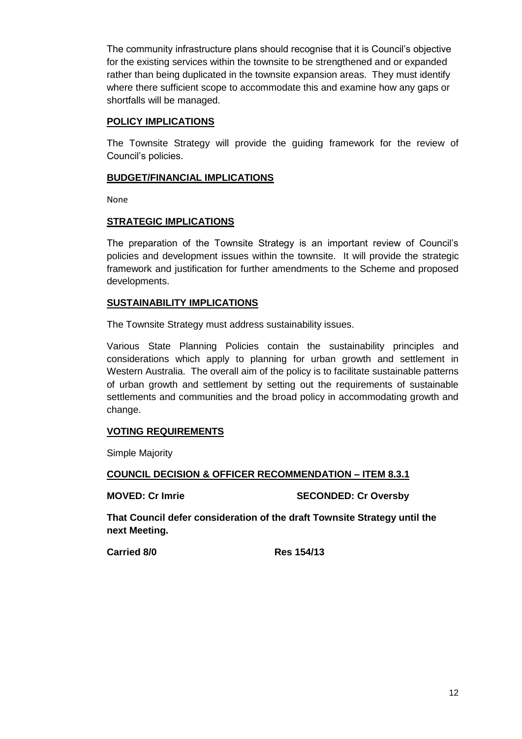The community infrastructure plans should recognise that it is Council's objective for the existing services within the townsite to be strengthened and or expanded rather than being duplicated in the townsite expansion areas. They must identify where there sufficient scope to accommodate this and examine how any gaps or shortfalls will be managed.

# **POLICY IMPLICATIONS**

The Townsite Strategy will provide the guiding framework for the review of Council's policies.

# **BUDGET/FINANCIAL IMPLICATIONS**

None

# **STRATEGIC IMPLICATIONS**

The preparation of the Townsite Strategy is an important review of Council's policies and development issues within the townsite. It will provide the strategic framework and justification for further amendments to the Scheme and proposed developments.

# **SUSTAINABILITY IMPLICATIONS**

The Townsite Strategy must address sustainability issues.

Various State Planning Policies contain the sustainability principles and considerations which apply to planning for urban growth and settlement in Western Australia. The overall aim of the policy is to facilitate sustainable patterns of urban growth and settlement by setting out the requirements of sustainable settlements and communities and the broad policy in accommodating growth and change.

# **VOTING REQUIREMENTS**

Simple Majority

**COUNCIL DECISION & OFFICER RECOMMENDATION – ITEM 8.3.1**

**MOVED: Cr Imrie SECONDED: Cr Oversby**

**That Council defer consideration of the draft Townsite Strategy until the next Meeting.**

**Carried 8/0 Res 154/13**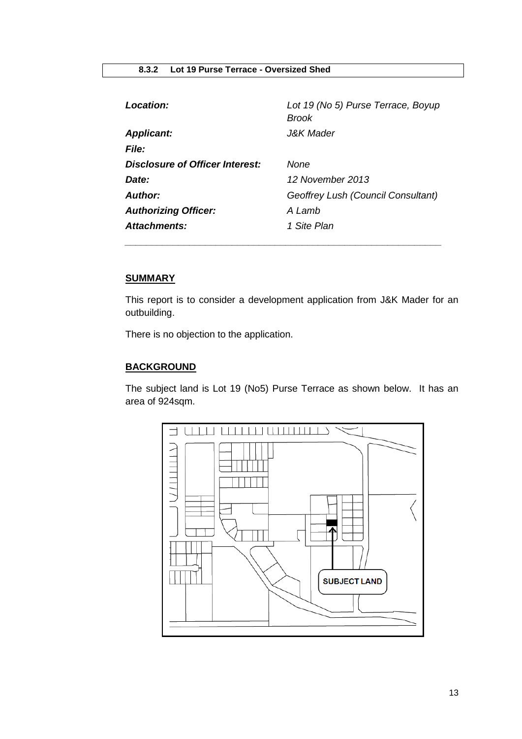<span id="page-12-0"></span>

| <b>Location:</b>                | Lot 19 (No 5) Purse Terrace, Boyup<br><b>Brook</b> |
|---------------------------------|----------------------------------------------------|
| <b>Applicant:</b>               | <i>J&amp;K Mader</i>                               |
| <b>File:</b>                    |                                                    |
| Disclosure of Officer Interest: | None                                               |
| Date:                           | 12 November 2013                                   |
| <b>Author:</b>                  | Geoffrey Lush (Council Consultant)                 |
| <b>Authorizing Officer:</b>     | A Lamb                                             |
| <b>Attachments:</b>             | 1 Site Plan                                        |

*\_\_\_\_\_\_\_\_\_\_\_\_\_\_\_\_\_\_\_\_\_\_\_\_\_\_\_\_\_\_\_\_\_\_\_\_\_\_\_\_\_\_\_\_\_\_\_\_\_\_\_\_\_\_\_\_\_\_\_*

# **SUMMARY**

This report is to consider a development application from J&K Mader for an outbuilding.

There is no objection to the application.

# **BACKGROUND**

The subject land is Lot 19 (No5) Purse Terrace as shown below. It has an area of 924sqm.

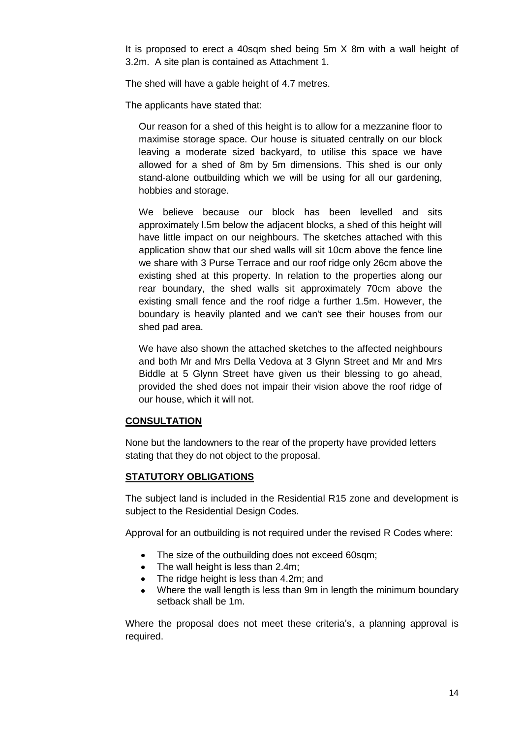It is proposed to erect a 40sqm shed being 5m X 8m with a wall height of 3.2m. A site plan is contained as Attachment 1.

The shed will have a gable height of 4.7 metres.

The applicants have stated that:

Our reason for a shed of this height is to allow for a mezzanine floor to maximise storage space. Our house is situated centrally on our block leaving a moderate sized backyard, to utilise this space we have allowed for a shed of 8m by 5m dimensions. This shed is our only stand-alone outbuilding which we will be using for all our gardening, hobbies and storage.

We believe because our block has been levelled and sits approximately l.5m below the adjacent blocks, a shed of this height will have little impact on our neighbours. The sketches attached with this application show that our shed walls will sit 10cm above the fence line we share with 3 Purse Terrace and our roof ridge only 26cm above the existing shed at this property. In relation to the properties along our rear boundary, the shed walls sit approximately 70cm above the existing small fence and the roof ridge a further 1.5m. However, the boundary is heavily planted and we can't see their houses from our shed pad area.

We have also shown the attached sketches to the affected neighbours and both Mr and Mrs Della Vedova at 3 Glynn Street and Mr and Mrs Biddle at 5 Glynn Street have given us their blessing to go ahead, provided the shed does not impair their vision above the roof ridge of our house, which it will not.

## **CONSULTATION**

None but the landowners to the rear of the property have provided letters stating that they do not object to the proposal.

# **STATUTORY OBLIGATIONS**

The subject land is included in the Residential R15 zone and development is subject to the Residential Design Codes.

Approval for an outbuilding is not required under the revised R Codes where:

- The size of the outbuilding does not exceed 60sqm;
- The wall height is less than 2.4m;
- The ridge height is less than 4.2m; and
- Where the wall length is less than 9m in length the minimum boundary setback shall be 1m.

Where the proposal does not meet these criteria's, a planning approval is required.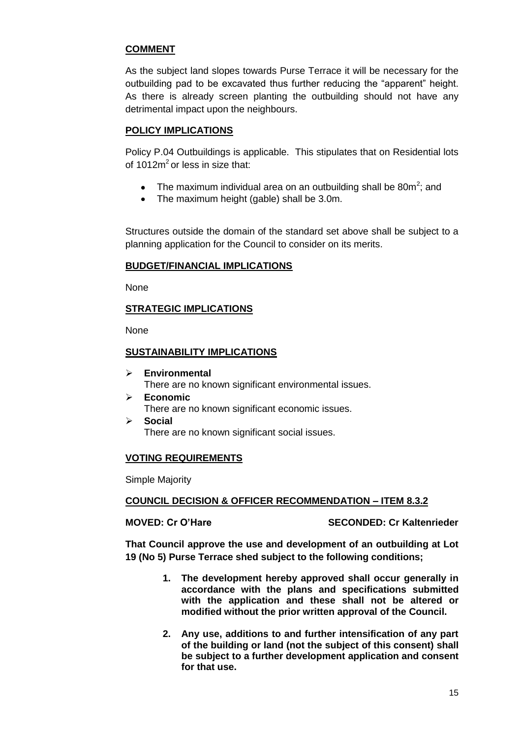# **COMMENT**

As the subject land slopes towards Purse Terrace it will be necessary for the outbuilding pad to be excavated thus further reducing the "apparent" height. As there is already screen planting the outbuilding should not have any detrimental impact upon the neighbours.

# **POLICY IMPLICATIONS**

Policy P.04 Outbuildings is applicable. This stipulates that on Residential lots of  $1012m^2$  or less in size that:

- The maximum individual area on an outbuilding shall be 80m<sup>2</sup>; and
- The maximum height (gable) shall be 3.0m.

Structures outside the domain of the standard set above shall be subject to a planning application for the Council to consider on its merits.

# **BUDGET/FINANCIAL IMPLICATIONS**

None

# **STRATEGIC IMPLICATIONS**

None

# **SUSTAINABILITY IMPLICATIONS**

- **Environmental**  There are no known significant environmental issues.
- **Economic**  There are no known significant economic issues.
- **Social**  There are no known significant social issues.

# **VOTING REQUIREMENTS**

Simple Majority

# **COUNCIL DECISION & OFFICER RECOMMENDATION – ITEM 8.3.2**

**MOVED: Cr O'Hare SECONDED: Cr Kaltenrieder**

**That Council approve the use and development of an outbuilding at Lot 19 (No 5) Purse Terrace shed subject to the following conditions;**

- **1. The development hereby approved shall occur generally in accordance with the plans and specifications submitted with the application and these shall not be altered or modified without the prior written approval of the Council.**
- **2. Any use, additions to and further intensification of any part of the building or land (not the subject of this consent) shall be subject to a further development application and consent for that use.**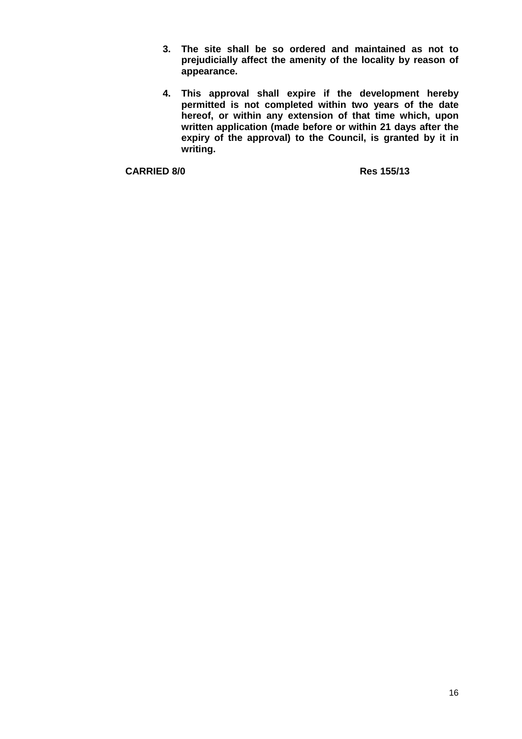- **3. The site shall be so ordered and maintained as not to prejudicially affect the amenity of the locality by reason of appearance.**
- **4. This approval shall expire if the development hereby permitted is not completed within two years of the date hereof, or within any extension of that time which, upon written application (made before or within 21 days after the**  expiry of the approval) to the Council, is granted by it in **writing.**

**CARRIED 8/0 Res 155/13**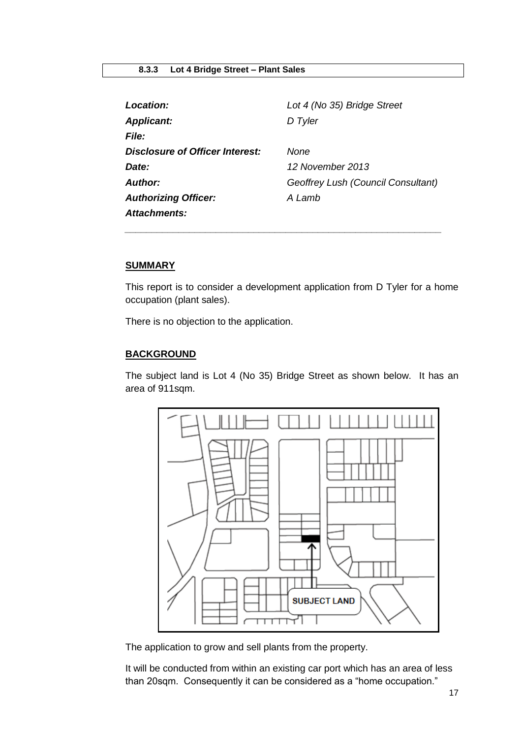<span id="page-16-0"></span>

| Location:                              | Lot 4 (No 35) Bridge Street        |
|----------------------------------------|------------------------------------|
| <b>Applicant:</b>                      | D Tyler                            |
| <i>File:</i>                           |                                    |
| <b>Disclosure of Officer Interest:</b> | None                               |
| Date:                                  | 12 November 2013                   |
| <b>Author:</b>                         | Geoffrey Lush (Council Consultant) |
| <b>Authorizing Officer:</b>            | A Lamb                             |
| Attachments:                           |                                    |

*\_\_\_\_\_\_\_\_\_\_\_\_\_\_\_\_\_\_\_\_\_\_\_\_\_\_\_\_\_\_\_\_\_\_\_\_\_\_\_\_\_\_\_\_\_\_\_\_\_\_\_\_\_\_\_\_\_\_\_*

# **SUMMARY**

This report is to consider a development application from D Tyler for a home occupation (plant sales).

There is no objection to the application.

# **BACKGROUND**

The subject land is Lot 4 (No 35) Bridge Street as shown below. It has an area of 911sqm.



The application to grow and sell plants from the property.

It will be conducted from within an existing car port which has an area of less than 20sqm. Consequently it can be considered as a "home occupation."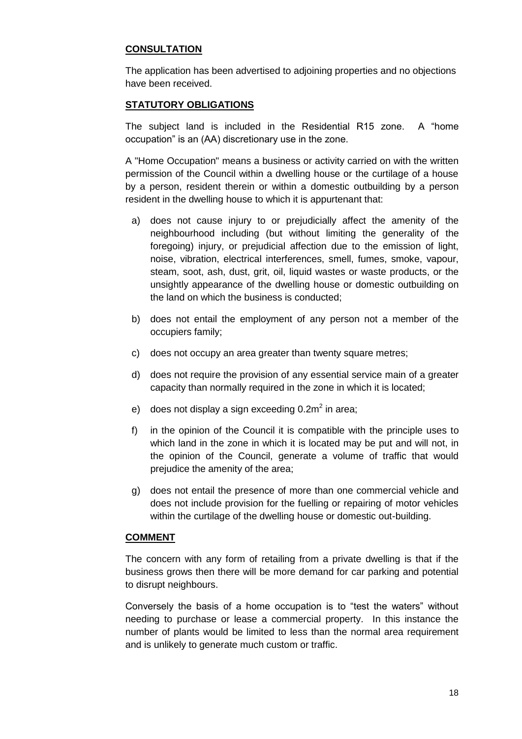# **CONSULTATION**

The application has been advertised to adjoining properties and no objections have been received.

# **STATUTORY OBLIGATIONS**

The subject land is included in the Residential R15 zone. A "home occupation" is an (AA) discretionary use in the zone.

A "Home Occupation" means a business or activity carried on with the written permission of the Council within a dwelling house or the curtilage of a house by a person, resident therein or within a domestic outbuilding by a person resident in the dwelling house to which it is appurtenant that:

- a) does not cause injury to or prejudicially affect the amenity of the neighbourhood including (but without limiting the generality of the foregoing) injury, or prejudicial affection due to the emission of light, noise, vibration, electrical interferences, smell, fumes, smoke, vapour, steam, soot, ash, dust, grit, oil, liquid wastes or waste products, or the unsightly appearance of the dwelling house or domestic outbuilding on the land on which the business is conducted;
- b) does not entail the employment of any person not a member of the occupiers family;
- c) does not occupy an area greater than twenty square metres;
- d) does not require the provision of any essential service main of a greater capacity than normally required in the zone in which it is located;
- e) does not display a sign exceeding 0.2m<sup>2</sup> in area;
- f) in the opinion of the Council it is compatible with the principle uses to which land in the zone in which it is located may be put and will not, in the opinion of the Council, generate a volume of traffic that would prejudice the amenity of the area;
- g) does not entail the presence of more than one commercial vehicle and does not include provision for the fuelling or repairing of motor vehicles within the curtilage of the dwelling house or domestic out-building.

## **COMMENT**

The concern with any form of retailing from a private dwelling is that if the business grows then there will be more demand for car parking and potential to disrupt neighbours.

Conversely the basis of a home occupation is to "test the waters" without needing to purchase or lease a commercial property. In this instance the number of plants would be limited to less than the normal area requirement and is unlikely to generate much custom or traffic.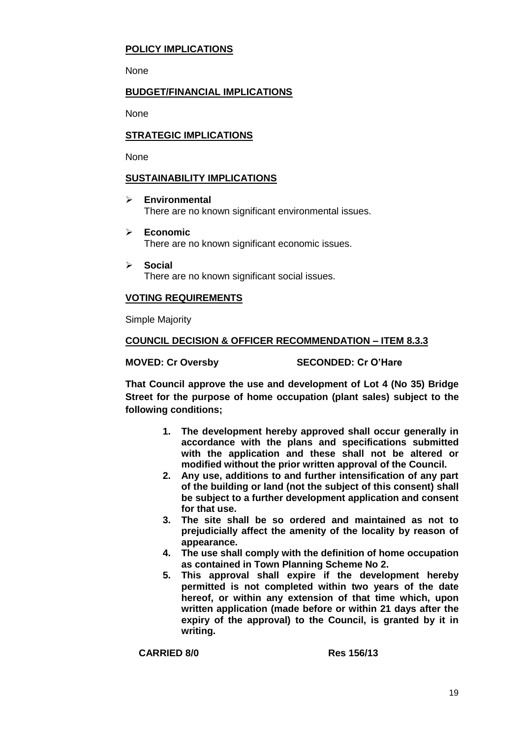# **POLICY IMPLICATIONS**

None

# **BUDGET/FINANCIAL IMPLICATIONS**

None

# **STRATEGIC IMPLICATIONS**

None

# **SUSTAINABILITY IMPLICATIONS**

- **Environmental**  There are no known significant environmental issues.
- **Economic**  There are no known significant economic issues.
- **Social**  There are no known significant social issues.

# **VOTING REQUIREMENTS**

Simple Majority

# **COUNCIL DECISION & OFFICER RECOMMENDATION – ITEM 8.3.3**

**MOVED: Cr Oversby SECONDED: Cr O'Hare**

**That Council approve the use and development of Lot 4 (No 35) Bridge Street for the purpose of home occupation (plant sales) subject to the following conditions;**

- **1. The development hereby approved shall occur generally in accordance with the plans and specifications submitted with the application and these shall not be altered or modified without the prior written approval of the Council.**
- **2. Any use, additions to and further intensification of any part of the building or land (not the subject of this consent) shall be subject to a further development application and consent for that use.**
- **3. The site shall be so ordered and maintained as not to prejudicially affect the amenity of the locality by reason of appearance.**
- **4. The use shall comply with the definition of home occupation as contained in Town Planning Scheme No 2.**
- **5. This approval shall expire if the development hereby permitted is not completed within two years of the date hereof, or within any extension of that time which, upon written application (made before or within 21 days after the expiry of the approval) to the Council, is granted by it in writing.**

**CARRIED 8/0 Res 156/13**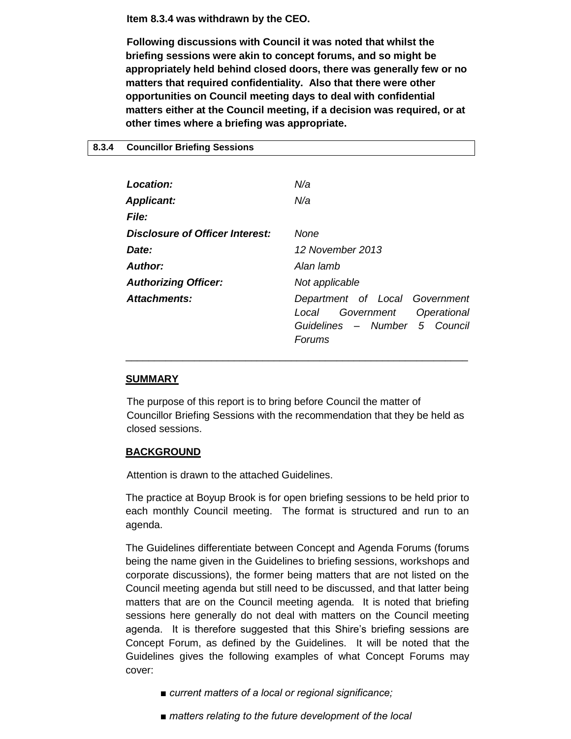**Item 8.3.4 was withdrawn by the CEO.**

**Following discussions with Council it was noted that whilst the briefing sessions were akin to concept forums, and so might be appropriately held behind closed doors, there was generally few or no matters that required confidentiality. Also that there were other opportunities on Council meeting days to deal with confidential matters either at the Council meeting, if a decision was required, or at other times where a briefing was appropriate.** 

<span id="page-19-0"></span>

| 8.3.4 | <b>Councillor Briefing Sessions</b> |  |  |
|-------|-------------------------------------|--|--|
|-------|-------------------------------------|--|--|

| Location:                       | N/a                                                                                                             |
|---------------------------------|-----------------------------------------------------------------------------------------------------------------|
| <b>Applicant:</b>               | N/a                                                                                                             |
| <b>File:</b>                    |                                                                                                                 |
| Disclosure of Officer Interest: | None                                                                                                            |
| Date:                           | 12 November 2013                                                                                                |
| <b>Author:</b>                  | Alan lamb                                                                                                       |
| <b>Authorizing Officer:</b>     | Not applicable                                                                                                  |
| Attachments:                    | Department of Local Government<br>Government<br>Operational<br>Local<br>Guidelines - Number 5 Council<br>Forums |

## **SUMMARY**

The purpose of this report is to bring before Council the matter of Councillor Briefing Sessions with the recommendation that they be held as closed sessions.

\_\_\_\_\_\_\_\_\_\_\_\_\_\_\_\_\_\_\_\_\_\_\_\_\_\_\_\_\_\_\_\_\_\_\_\_\_\_\_\_\_\_\_\_\_\_\_\_\_\_\_\_\_\_\_\_\_\_\_\_

# **BACKGROUND**

Attention is drawn to the attached Guidelines.

The practice at Boyup Brook is for open briefing sessions to be held prior to each monthly Council meeting. The format is structured and run to an agenda.

The Guidelines differentiate between Concept and Agenda Forums (forums being the name given in the Guidelines to briefing sessions, workshops and corporate discussions), the former being matters that are not listed on the Council meeting agenda but still need to be discussed, and that latter being matters that are on the Council meeting agenda. It is noted that briefing sessions here generally do not deal with matters on the Council meeting agenda. It is therefore suggested that this Shire's briefing sessions are Concept Forum, as defined by the Guidelines. It will be noted that the Guidelines gives the following examples of what Concept Forums may cover:

- *current matters of a local or regional significance;*
- *matters relating to the future development of the local*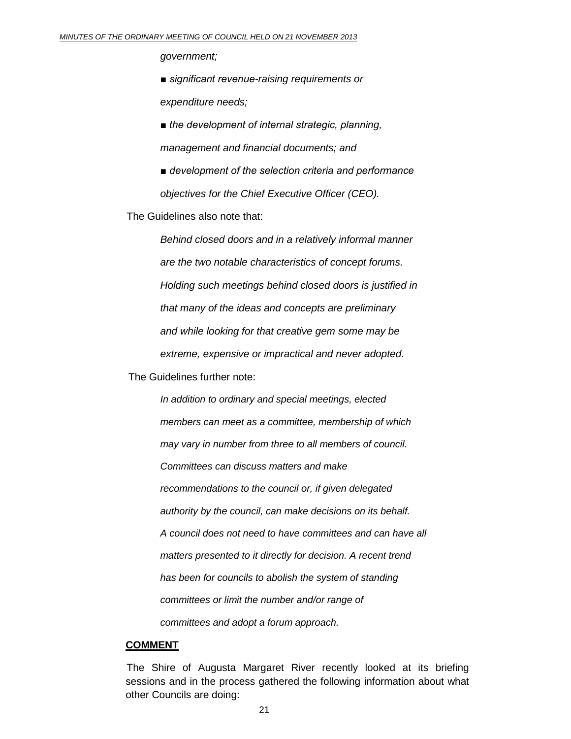*government;*

*■ significant revenue-raising requirements or expenditure needs;*

*■ the development of internal strategic, planning, management and financial documents; and*

*■ development of the selection criteria and performance objectives for the Chief Executive Officer (CEO).*

The Guidelines also note that:

*Behind closed doors and in a relatively informal manner are the two notable characteristics of concept forums. Holding such meetings behind closed doors is justified in that many of the ideas and concepts are preliminary and while looking for that creative gem some may be extreme, expensive or impractical and never adopted.*

The Guidelines further note:

*In addition to ordinary and special meetings, elected members can meet as a committee, membership of which may vary in number from three to all members of council. Committees can discuss matters and make recommendations to the council or, if given delegated authority by the council, can make decisions on its behalf. A council does not need to have committees and can have all matters presented to it directly for decision. A recent trend has been for councils to abolish the system of standing committees or limit the number and/or range of committees and adopt a forum approach.*

## **COMMENT**

The Shire of Augusta Margaret River recently looked at its briefing sessions and in the process gathered the following information about what other Councils are doing: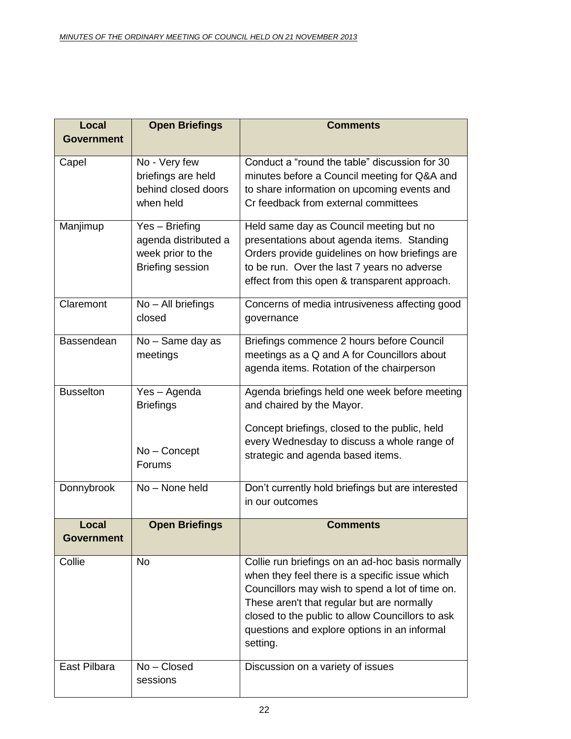| Local                      | <b>Open Briefings</b>                                                                  | <b>Comments</b>                                                                                                                                                                                                                                                                                                     |
|----------------------------|----------------------------------------------------------------------------------------|---------------------------------------------------------------------------------------------------------------------------------------------------------------------------------------------------------------------------------------------------------------------------------------------------------------------|
| <b>Government</b>          |                                                                                        |                                                                                                                                                                                                                                                                                                                     |
| Capel                      | No - Very few<br>briefings are held<br>behind closed doors<br>when held                | Conduct a "round the table" discussion for 30<br>minutes before a Council meeting for Q&A and<br>to share information on upcoming events and<br>Cr feedback from external committees                                                                                                                                |
| Manjimup                   | Yes - Briefing<br>agenda distributed a<br>week prior to the<br><b>Briefing session</b> | Held same day as Council meeting but no<br>presentations about agenda items. Standing<br>Orders provide guidelines on how briefings are<br>to be run. Over the last 7 years no adverse<br>effect from this open & transparent approach.                                                                             |
| Claremont                  | No - All briefings<br>closed                                                           | Concerns of media intrusiveness affecting good<br>governance                                                                                                                                                                                                                                                        |
| Bassendean                 | No - Same day as<br>meetings                                                           | Briefings commence 2 hours before Council<br>meetings as a Q and A for Councillors about<br>agenda items. Rotation of the chairperson                                                                                                                                                                               |
| <b>Busselton</b>           | Yes - Agenda<br><b>Briefings</b>                                                       | Agenda briefings held one week before meeting<br>and chaired by the Mayor.                                                                                                                                                                                                                                          |
|                            | No - Concept<br>Forums                                                                 | Concept briefings, closed to the public, held<br>every Wednesday to discuss a whole range of<br>strategic and agenda based items.                                                                                                                                                                                   |
| Donnybrook                 | No - None held                                                                         | Don't currently hold briefings but are interested<br>in our outcomes                                                                                                                                                                                                                                                |
| Local<br><b>Government</b> | <b>Open Briefings</b>                                                                  | <b>Comments</b>                                                                                                                                                                                                                                                                                                     |
| Collie                     | <b>No</b>                                                                              | Collie run briefings on an ad-hoc basis normally<br>when they feel there is a specific issue which<br>Councillors may wish to spend a lot of time on.<br>These aren't that regular but are normally<br>closed to the public to allow Councillors to ask<br>questions and explore options in an informal<br>setting. |
| East Pilbara               | No - Closed<br>sessions                                                                | Discussion on a variety of issues                                                                                                                                                                                                                                                                                   |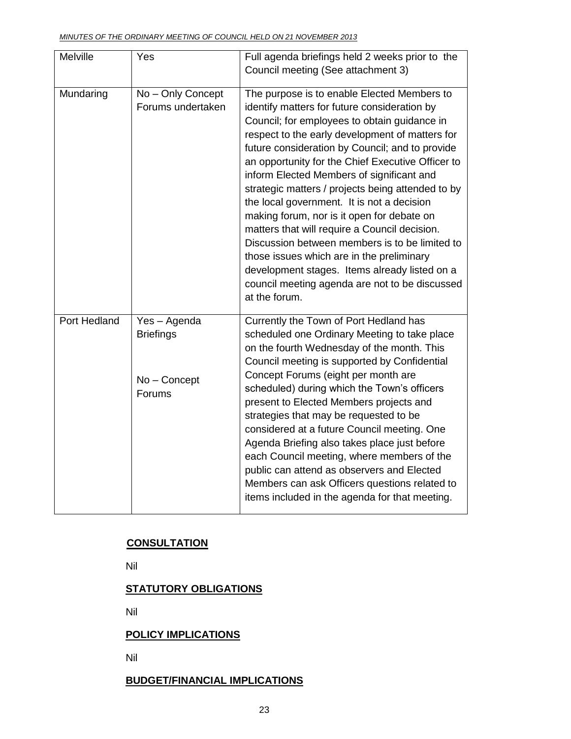| Melville     | Yes                    | Full agenda briefings held 2 weeks prior to the                                                    |
|--------------|------------------------|----------------------------------------------------------------------------------------------------|
|              |                        | Council meeting (See attachment 3)                                                                 |
| Mundaring    | No - Only Concept      | The purpose is to enable Elected Members to                                                        |
|              | Forums undertaken      | identify matters for future consideration by                                                       |
|              |                        | Council; for employees to obtain guidance in                                                       |
|              |                        | respect to the early development of matters for<br>future consideration by Council; and to provide |
|              |                        | an opportunity for the Chief Executive Officer to                                                  |
|              |                        | inform Elected Members of significant and                                                          |
|              |                        | strategic matters / projects being attended to by                                                  |
|              |                        | the local government. It is not a decision                                                         |
|              |                        | making forum, nor is it open for debate on<br>matters that will require a Council decision.        |
|              |                        | Discussion between members is to be limited to                                                     |
|              |                        | those issues which are in the preliminary                                                          |
|              |                        | development stages. Items already listed on a                                                      |
|              |                        | council meeting agenda are not to be discussed                                                     |
|              |                        | at the forum.                                                                                      |
| Port Hedland | Yes - Agenda           | Currently the Town of Port Hedland has                                                             |
|              | <b>Briefings</b>       | scheduled one Ordinary Meeting to take place<br>on the fourth Wednesday of the month. This         |
|              |                        | Council meeting is supported by Confidential                                                       |
|              |                        | Concept Forums (eight per month are                                                                |
|              | No - Concept<br>Forums | scheduled) during which the Town's officers                                                        |
|              |                        | present to Elected Members projects and                                                            |
|              |                        | strategies that may be requested to be                                                             |
|              |                        | considered at a future Council meeting. One<br>Agenda Briefing also takes place just before        |
|              |                        | each Council meeting, where members of the                                                         |
|              |                        | public can attend as observers and Elected                                                         |
|              |                        | Members can ask Officers questions related to                                                      |
|              |                        | items included in the agenda for that meeting.                                                     |

# **CONSULTATION**

Nil

# **STATUTORY OBLIGATIONS**

Nil

# **POLICY IMPLICATIONS**

Nil

# **BUDGET/FINANCIAL IMPLICATIONS**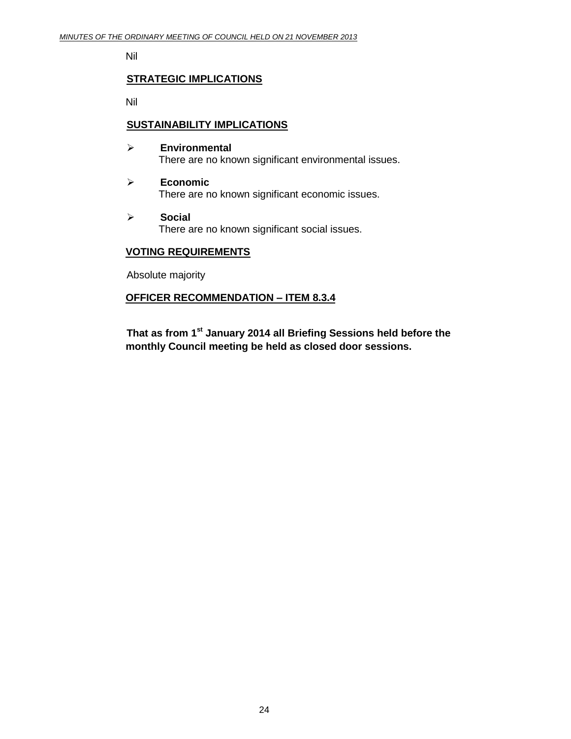Nil

## **STRATEGIC IMPLICATIONS**

Nil

# **SUSTAINABILITY IMPLICATIONS**

- **Environmental** There are no known significant environmental issues.
- **Economic** There are no known significant economic issues.
- **Social** There are no known significant social issues.

# **VOTING REQUIREMENTS**

Absolute majority

# **OFFICER RECOMMENDATION – ITEM 8.3.4**

**That as from 1st January 2014 all Briefing Sessions held before the monthly Council meeting be held as closed door sessions.**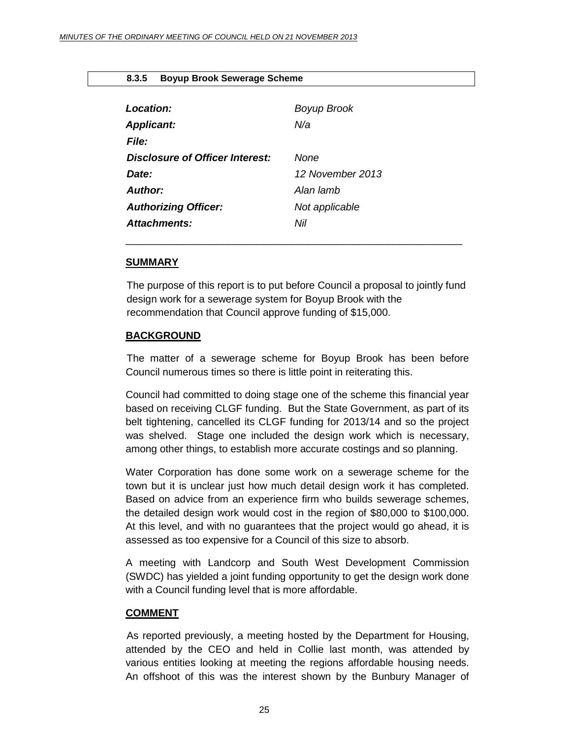## **8.3.5 Boyup Brook Sewerage Scheme**

<span id="page-24-0"></span>

| Location:<br><b>Applicant:</b>  | Boyup Brook<br>N/a |
|---------------------------------|--------------------|
| File:                           |                    |
| Disclosure of Officer Interest: | None               |
| Date:                           | 12 November 2013   |
| Author:                         | Alan lamh          |
| <b>Authorizing Officer:</b>     | Not applicable     |
| Attachments:                    | Nil                |
|                                 |                    |

#### **SUMMARY**

The purpose of this report is to put before Council a proposal to jointly fund design work for a sewerage system for Boyup Brook with the recommendation that Council approve funding of \$15,000.

### **BACKGROUND**

The matter of a sewerage scheme for Boyup Brook has been before Council numerous times so there is little point in reiterating this.

Council had committed to doing stage one of the scheme this financial year based on receiving CLGF funding. But the State Government, as part of its belt tightening, cancelled its CLGF funding for 2013/14 and so the project was shelved. Stage one included the design work which is necessary, among other things, to establish more accurate costings and so planning.

Water Corporation has done some work on a sewerage scheme for the town but it is unclear just how much detail design work it has completed. Based on advice from an experience firm who builds sewerage schemes, the detailed design work would cost in the region of \$80,000 to \$100,000. At this level, and with no guarantees that the project would go ahead, it is assessed as too expensive for a Council of this size to absorb.

A meeting with Landcorp and South West Development Commission (SWDC) has yielded a joint funding opportunity to get the design work done with a Council funding level that is more affordable.

#### **COMMENT**

As reported previously, a meeting hosted by the Department for Housing, attended by the CEO and held in Collie last month, was attended by various entities looking at meeting the regions affordable housing needs. An offshoot of this was the interest shown by the Bunbury Manager of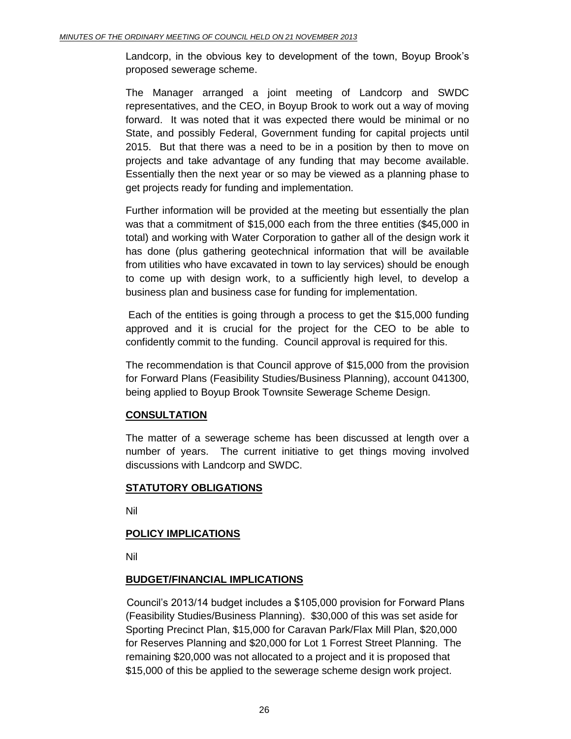Landcorp, in the obvious key to development of the town, Boyup Brook's proposed sewerage scheme.

The Manager arranged a joint meeting of Landcorp and SWDC representatives, and the CEO, in Boyup Brook to work out a way of moving forward. It was noted that it was expected there would be minimal or no State, and possibly Federal, Government funding for capital projects until 2015. But that there was a need to be in a position by then to move on projects and take advantage of any funding that may become available. Essentially then the next year or so may be viewed as a planning phase to get projects ready for funding and implementation.

Further information will be provided at the meeting but essentially the plan was that a commitment of \$15,000 each from the three entities (\$45,000 in total) and working with Water Corporation to gather all of the design work it has done (plus gathering geotechnical information that will be available from utilities who have excavated in town to lay services) should be enough to come up with design work, to a sufficiently high level, to develop a business plan and business case for funding for implementation.

Each of the entities is going through a process to get the \$15,000 funding approved and it is crucial for the project for the CEO to be able to confidently commit to the funding. Council approval is required for this.

The recommendation is that Council approve of \$15,000 from the provision for Forward Plans (Feasibility Studies/Business Planning), account 041300, being applied to Boyup Brook Townsite Sewerage Scheme Design.

# **CONSULTATION**

The matter of a sewerage scheme has been discussed at length over a number of years. The current initiative to get things moving involved discussions with Landcorp and SWDC.

# **STATUTORY OBLIGATIONS**

Nil

# **POLICY IMPLICATIONS**

Nil

# **BUDGET/FINANCIAL IMPLICATIONS**

Council's 2013/14 budget includes a \$105,000 provision for Forward Plans (Feasibility Studies/Business Planning). \$30,000 of this was set aside for Sporting Precinct Plan, \$15,000 for Caravan Park/Flax Mill Plan, \$20,000 for Reserves Planning and \$20,000 for Lot 1 Forrest Street Planning. The remaining \$20,000 was not allocated to a project and it is proposed that \$15,000 of this be applied to the sewerage scheme design work project.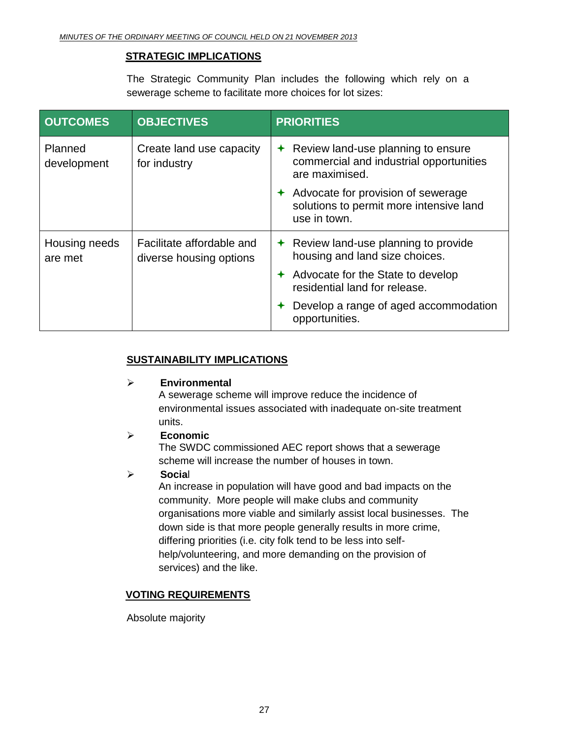# **STRATEGIC IMPLICATIONS**

The Strategic Community Plan includes the following which rely on a sewerage scheme to facilitate more choices for lot sizes:

| <b>OUTCOMES</b>          | <b>OBJECTIVES</b>                                    | <b>PRIORITIES</b>                                                                                             |
|--------------------------|------------------------------------------------------|---------------------------------------------------------------------------------------------------------------|
| Planned<br>development   | Create land use capacity<br>for industry             | Review land-use planning to ensure<br>$\bigstar$<br>commercial and industrial opportunities<br>are maximised. |
|                          |                                                      | Advocate for provision of sewerage<br>solutions to permit more intensive land<br>use in town.                 |
| Housing needs<br>are met | Facilitate affordable and<br>diverse housing options | $\triangle$ Review land-use planning to provide<br>housing and land size choices.                             |
|                          |                                                      | Advocate for the State to develop<br>residential land for release.                                            |
|                          |                                                      | Develop a range of aged accommodation<br>opportunities.                                                       |

# **SUSTAINABILITY IMPLICATIONS**

# **Environmental**

A sewerage scheme will improve reduce the incidence of environmental issues associated with inadequate on-site treatment units.

# **Economic**

The SWDC commissioned AEC report shows that a sewerage scheme will increase the number of houses in town.

# **Socia**l

An increase in population will have good and bad impacts on the community. More people will make clubs and community organisations more viable and similarly assist local businesses. The down side is that more people generally results in more crime, differing priorities (i.e. city folk tend to be less into selfhelp/volunteering, and more demanding on the provision of services) and the like.

# **VOTING REQUIREMENTS**

Absolute majority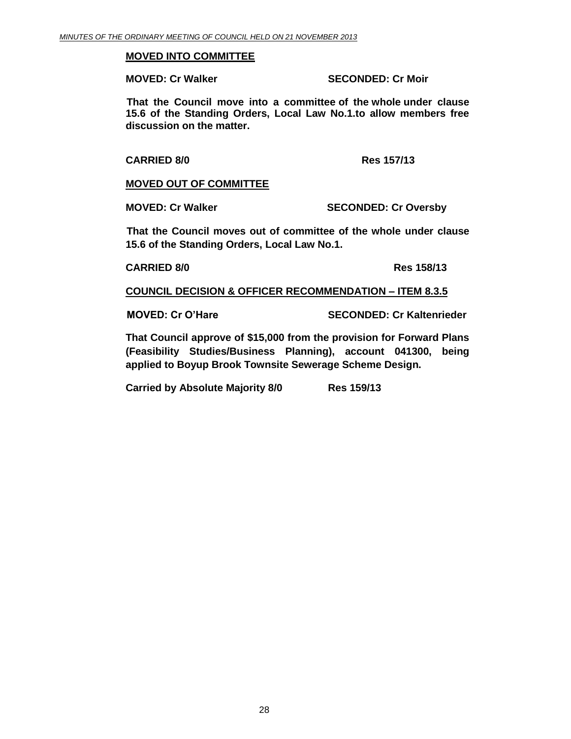## **MOVED INTO COMMITTEE**

**MOVED: Cr Walker SECONDED: Cr Moir**

**That the Council move into a committee of the whole under clause 15.6 of the Standing Orders, Local Law No.1.to allow members free discussion on the matter.**

## **CARRIED 8/0 Res 157/13**

# **MOVED OUT OF COMMITTEE**

**MOVED: Cr Walker SECONDED: Cr Oversby**

**That the Council moves out of committee of the whole under clause 15.6 of the Standing Orders, Local Law No.1.**

**CARRIED 8/0 Res 158/13**

**COUNCIL DECISION & OFFICER RECOMMENDATION – ITEM 8.3.5**

**MOVED: Cr O'Hare SECONDED: Cr Kaltenrieder**

**That Council approve of \$15,000 from the provision for Forward Plans (Feasibility Studies/Business Planning), account 041300, being applied to Boyup Brook Townsite Sewerage Scheme Design.**

**Carried by Absolute Majority 8/0 Res 159/13**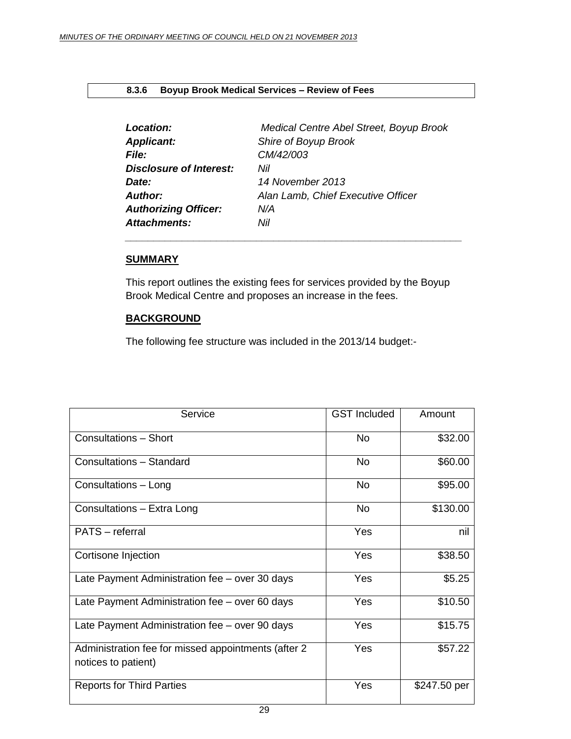## **8.3.6 Boyup Brook Medical Services – Review of Fees**

<span id="page-28-0"></span>

| Medical Centre Abel Street, Boyup Brook |
|-----------------------------------------|
| Shire of Boyup Brook                    |
| CM/42/003                               |
| Nil                                     |
| 14 November 2013                        |
| Alan Lamb, Chief Executive Officer      |
| N/A                                     |
| Nil                                     |
|                                         |

*\_\_\_\_\_\_\_\_\_\_\_\_\_\_\_\_\_\_\_\_\_\_\_\_\_\_\_\_\_\_\_\_\_\_\_\_\_\_\_\_\_\_\_\_\_\_\_\_\_\_\_\_\_\_\_\_\_\_\_*

## **SUMMARY**

This report outlines the existing fees for services provided by the Boyup Brook Medical Centre and proposes an increase in the fees.

## **BACKGROUND**

The following fee structure was included in the 2013/14 budget:-

| Service                                                                    | <b>GST</b> Included | Amount       |
|----------------------------------------------------------------------------|---------------------|--------------|
| <b>Consultations - Short</b>                                               | No.                 | \$32.00      |
| Consultations - Standard                                                   | No.                 | \$60.00      |
| Consultations - Long                                                       | <b>No</b>           | \$95.00      |
| Consultations - Extra Long                                                 | <b>No</b>           | \$130.00     |
| PATS - referral                                                            | Yes                 | nil          |
| Cortisone Injection                                                        | Yes                 | \$38.50      |
| Late Payment Administration fee - over 30 days                             | Yes                 | \$5.25       |
| Late Payment Administration fee – over 60 days                             | Yes                 | \$10.50      |
| Late Payment Administration fee - over 90 days                             | Yes                 | \$15.75      |
| Administration fee for missed appointments (after 2<br>notices to patient) | Yes                 | \$57.22      |
| <b>Reports for Third Parties</b>                                           | Yes                 | \$247.50 per |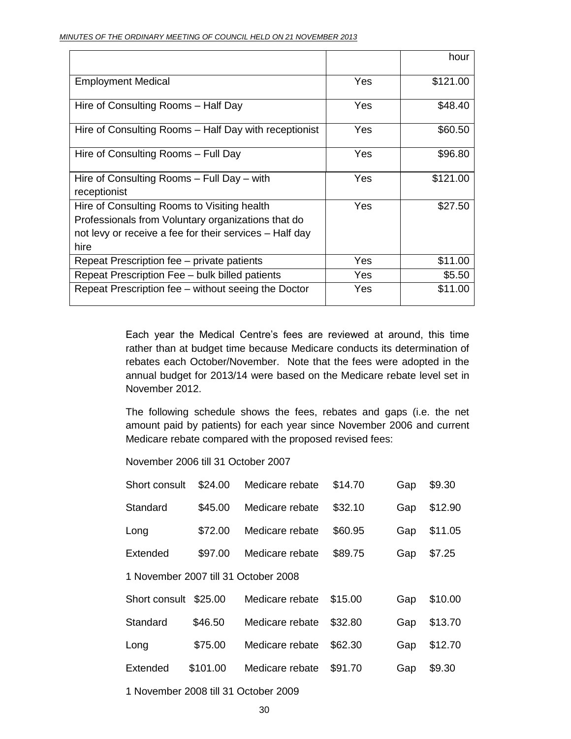|                                                                                                                                                                      |     | hour     |
|----------------------------------------------------------------------------------------------------------------------------------------------------------------------|-----|----------|
| <b>Employment Medical</b>                                                                                                                                            | Yes | \$121.00 |
| Hire of Consulting Rooms - Half Day                                                                                                                                  | Yes | \$48.40  |
| Hire of Consulting Rooms – Half Day with receptionist                                                                                                                | Yes | \$60.50  |
| Hire of Consulting Rooms – Full Day                                                                                                                                  | Yes | \$96.80  |
| Hire of Consulting Rooms - Full Day - with<br>receptionist                                                                                                           | Yes | \$121.00 |
| Hire of Consulting Rooms to Visiting health<br>Professionals from Voluntary organizations that do<br>not levy or receive a fee for their services – Half day<br>hire | Yes | \$27.50  |
| Repeat Prescription fee – private patients                                                                                                                           | Yes | \$11.00  |
| Repeat Prescription Fee - bulk billed patients                                                                                                                       | Yes | \$5.50   |
| Repeat Prescription fee – without seeing the Doctor                                                                                                                  | Yes | \$11.00  |

Each year the Medical Centre's fees are reviewed at around, this time rather than at budget time because Medicare conducts its determination of rebates each October/November. Note that the fees were adopted in the annual budget for 2013/14 were based on the Medicare rebate level set in November 2012.

The following schedule shows the fees, rebates and gaps (i.e. the net amount paid by patients) for each year since November 2006 and current Medicare rebate compared with the proposed revised fees:

November 2006 till 31 October 2007

| Short consult                        | \$24.00  | Medicare rebate | \$14.70 | Gap | \$9.30  |
|--------------------------------------|----------|-----------------|---------|-----|---------|
| Standard                             | \$45.00  | Medicare rebate | \$32.10 | Gap | \$12.90 |
| Long                                 | \$72.00  | Medicare rebate | \$60.95 | Gap | \$11.05 |
| Extended                             | \$97.00  | Medicare rebate | \$89.75 | Gap | \$7.25  |
| 1 November 2007 till 31 October 2008 |          |                 |         |     |         |
| Short consult                        | \$25.00  | Medicare rebate | \$15.00 | Gap | \$10.00 |
| Standard                             | \$46.50  | Medicare rebate | \$32.80 | Gap | \$13.70 |
| Long                                 | \$75.00  | Medicare rebate | \$62.30 | Gap | \$12.70 |
| Extended                             | \$101.00 | Medicare rebate | \$91.70 | Gap | \$9.30  |
| 1 November 2008 till 31 October 2009 |          |                 |         |     |         |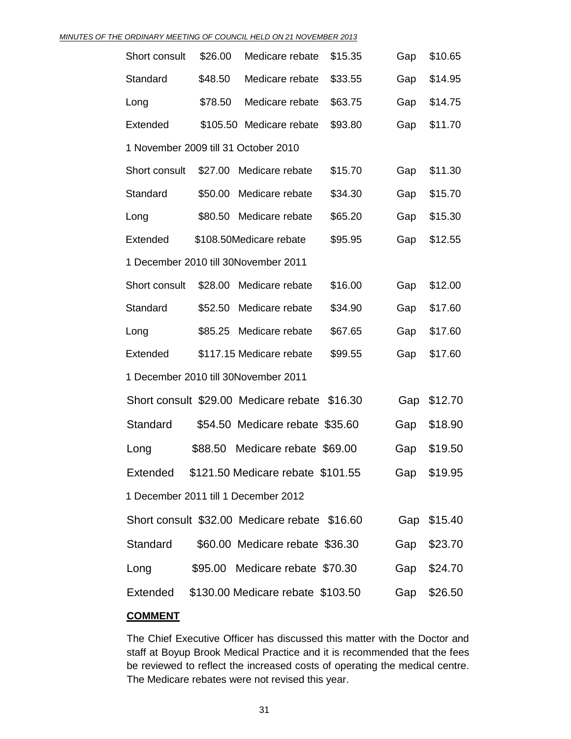#### *MINUTES OF THE ORDINARY MEETING OF COUNCIL HELD ON 21 NOVEMBER 2013*

| Short consult                        | \$26.00 | Medicare rebate                               | \$15.35 | Gap | \$10.65     |
|--------------------------------------|---------|-----------------------------------------------|---------|-----|-------------|
| Standard                             | \$48.50 | Medicare rebate                               | \$33.55 | Gap | \$14.95     |
| Long                                 | \$78.50 | Medicare rebate                               | \$63.75 | Gap | \$14.75     |
| Extended                             |         | \$105.50 Medicare rebate                      | \$93.80 | Gap | \$11.70     |
| 1 November 2009 till 31 October 2010 |         |                                               |         |     |             |
| Short consult                        | \$27.00 | Medicare rebate                               | \$15.70 | Gap | \$11.30     |
| Standard                             | \$50.00 | Medicare rebate                               | \$34.30 | Gap | \$15.70     |
| Long                                 | \$80.50 | Medicare rebate                               | \$65.20 | Gap | \$15.30     |
| Extended                             |         | \$108.50Medicare rebate                       | \$95.95 | Gap | \$12.55     |
|                                      |         | 1 December 2010 till 30November 2011          |         |     |             |
| Short consult                        | \$28.00 | Medicare rebate                               | \$16.00 | Gap | \$12.00     |
| Standard                             | \$52.50 | Medicare rebate                               | \$34.90 | Gap | \$17.60     |
| Long                                 | \$85.25 | Medicare rebate                               | \$67.65 | Gap | \$17.60     |
| Extended                             |         | \$117.15 Medicare rebate                      | \$99.55 | Gap | \$17.60     |
|                                      |         | 1 December 2010 till 30November 2011          |         |     |             |
|                                      |         | Short consult \$29.00 Medicare rebate         | \$16.30 | Gap | \$12.70     |
| Standard                             |         | \$54.50 Medicare rebate \$35.60               |         | Gap | \$18.90     |
| Long                                 | \$88.50 | Medicare rebate \$69.00                       |         | Gap | \$19.50     |
| Extended                             |         | \$121.50 Medicare rebate \$101.55             |         |     | Gap \$19.95 |
|                                      |         | 1 December 2011 till 1 December 2012          |         |     |             |
|                                      |         | Short consult \$32.00 Medicare rebate \$16.60 |         |     | Gap \$15.40 |
| Standard                             |         | \$60.00 Medicare rebate \$36.30               |         | Gap | \$23.70     |
| Long                                 |         | \$95.00 Medicare rebate \$70.30               |         | Gap | \$24.70     |
| Extended                             |         | \$130.00 Medicare rebate \$103.50             |         | Gap | \$26.50     |
|                                      |         |                                               |         |     |             |

# **COMMENT**

The Chief Executive Officer has discussed this matter with the Doctor and staff at Boyup Brook Medical Practice and it is recommended that the fees be reviewed to reflect the increased costs of operating the medical centre. The Medicare rebates were not revised this year.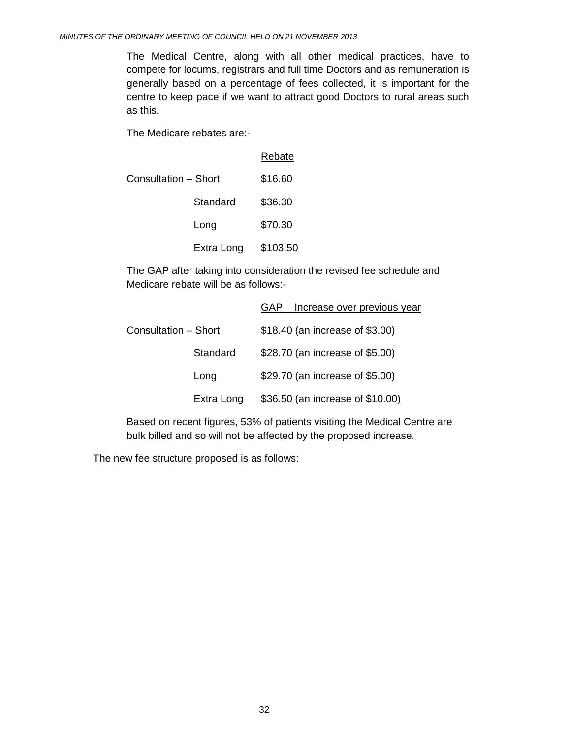The Medical Centre, along with all other medical practices, have to compete for locums, registrars and full time Doctors and as remuneration is generally based on a percentage of fees collected, it is important for the centre to keep pace if we want to attract good Doctors to rural areas such as this.

The Medicare rebates are:-

|                             |            | <b>Rebate</b> |
|-----------------------------|------------|---------------|
| <b>Consultation - Short</b> |            | \$16.60       |
|                             | Standard   | \$36.30       |
|                             | Long       | \$70.30       |
|                             | Extra Long | \$103.50      |

The GAP after taking into consideration the revised fee schedule and Medicare rebate will be as follows:-

|                      | Increase over previous year<br>GAP |
|----------------------|------------------------------------|
| Consultation – Short | \$18.40 (an increase of \$3.00)    |
| Standard             | \$28.70 (an increase of \$5.00)    |
| Long                 | \$29.70 (an increase of \$5.00)    |
| Extra Long           | \$36.50 (an increase of \$10.00)   |

Based on recent figures, 53% of patients visiting the Medical Centre are bulk billed and so will not be affected by the proposed increase.

The new fee structure proposed is as follows: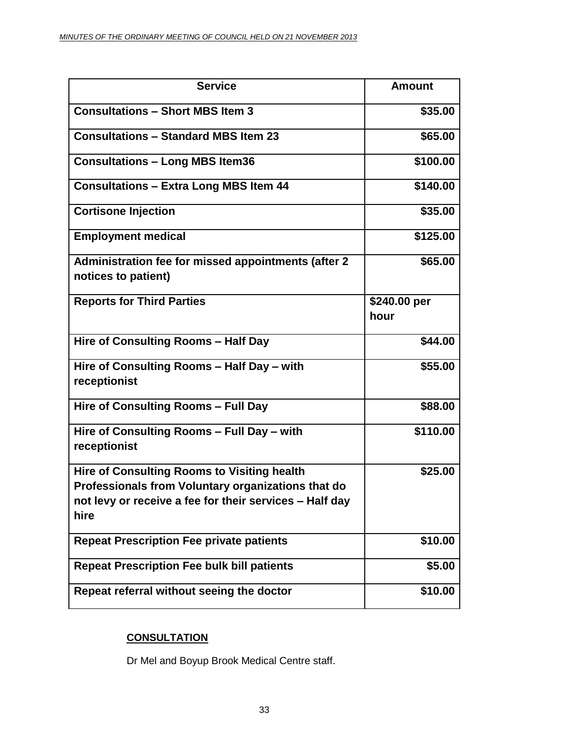| <b>Service</b>                                                                                                                                                              | <b>Amount</b>        |
|-----------------------------------------------------------------------------------------------------------------------------------------------------------------------------|----------------------|
| <b>Consultations - Short MBS Item 3</b>                                                                                                                                     | \$35.00              |
| <b>Consultations - Standard MBS Item 23</b>                                                                                                                                 | \$65.00              |
| <b>Consultations - Long MBS Item36</b>                                                                                                                                      | \$100.00             |
| <b>Consultations - Extra Long MBS Item 44</b>                                                                                                                               | \$140.00             |
| <b>Cortisone Injection</b>                                                                                                                                                  | \$35.00              |
| <b>Employment medical</b>                                                                                                                                                   | \$125.00             |
| Administration fee for missed appointments (after 2<br>notices to patient)                                                                                                  | \$65.00              |
| <b>Reports for Third Parties</b>                                                                                                                                            | \$240.00 per<br>hour |
| Hire of Consulting Rooms - Half Day                                                                                                                                         | \$44.00              |
| Hire of Consulting Rooms - Half Day - with<br>receptionist                                                                                                                  | \$55.00              |
| Hire of Consulting Rooms - Full Day                                                                                                                                         | \$88.00              |
| Hire of Consulting Rooms - Full Day - with<br>receptionist                                                                                                                  | \$110.00             |
| <b>Hire of Consulting Rooms to Visiting health</b><br>Professionals from Voluntary organizations that do<br>not levy or receive a fee for their services - Half day<br>hire | \$25.00              |
| <b>Repeat Prescription Fee private patients</b>                                                                                                                             | \$10.00              |
| <b>Repeat Prescription Fee bulk bill patients</b>                                                                                                                           | \$5.00               |
| Repeat referral without seeing the doctor                                                                                                                                   | \$10.00              |

# **CONSULTATION**

Dr Mel and Boyup Brook Medical Centre staff.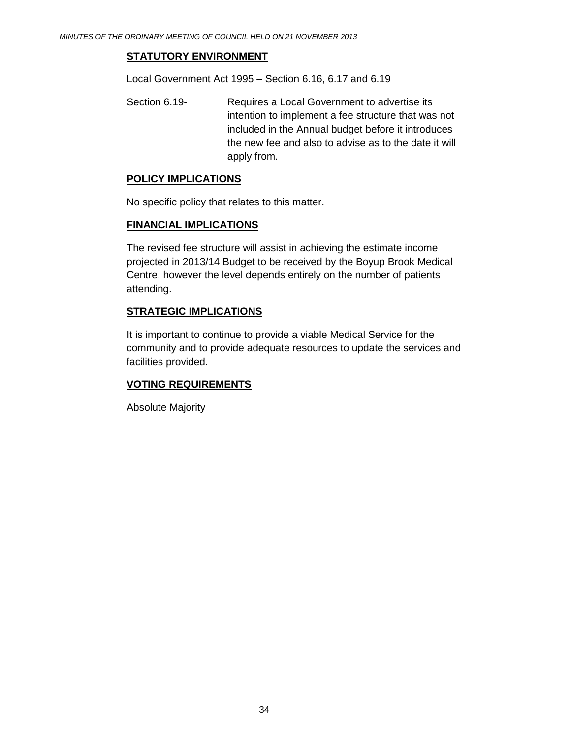# **STATUTORY ENVIRONMENT**

Local Government Act 1995 – Section 6.16, 6.17 and 6.19

Section 6.19- Requires a Local Government to advertise its intention to implement a fee structure that was not included in the Annual budget before it introduces the new fee and also to advise as to the date it will apply from.

## **POLICY IMPLICATIONS**

No specific policy that relates to this matter.

## **FINANCIAL IMPLICATIONS**

The revised fee structure will assist in achieving the estimate income projected in 2013/14 Budget to be received by the Boyup Brook Medical Centre, however the level depends entirely on the number of patients attending.

# **STRATEGIC IMPLICATIONS**

It is important to continue to provide a viable Medical Service for the community and to provide adequate resources to update the services and facilities provided.

# **VOTING REQUIREMENTS**

Absolute Majority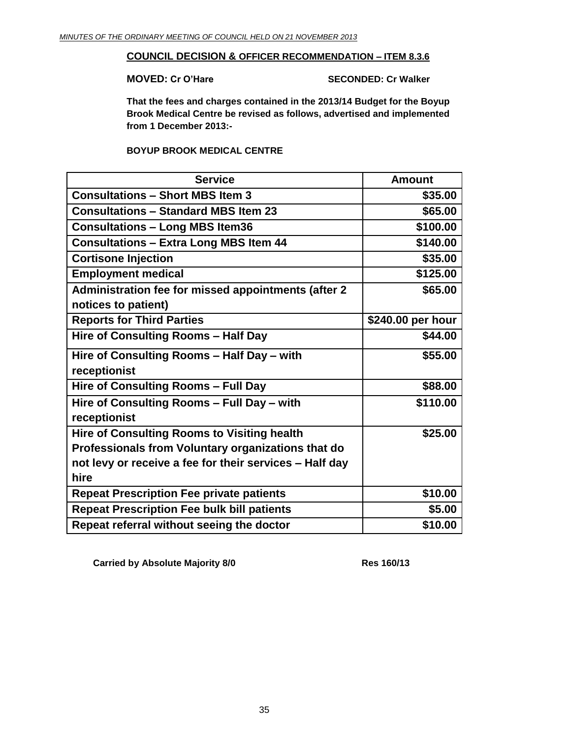## **COUNCIL DECISION & OFFICER RECOMMENDATION – ITEM 8.3.6**

**MOVED: Cr O'Hare SECONDED: Cr Walker**

**That the fees and charges contained in the 2013/14 Budget for the Boyup Brook Medical Centre be revised as follows, advertised and implemented from 1 December 2013:-**

# **BOYUP BROOK MEDICAL CENTRE**

| <b>Service</b>                                          | <b>Amount</b>     |
|---------------------------------------------------------|-------------------|
| <b>Consultations - Short MBS Item 3</b>                 | \$35.00           |
| <b>Consultations - Standard MBS Item 23</b>             | \$65.00           |
| <b>Consultations – Long MBS Item36</b>                  | \$100.00          |
| <b>Consultations - Extra Long MBS Item 44</b>           | \$140.00          |
| <b>Cortisone Injection</b>                              | \$35.00           |
| <b>Employment medical</b>                               | \$125.00          |
| Administration fee for missed appointments (after 2     | \$65.00           |
| notices to patient)                                     |                   |
| <b>Reports for Third Parties</b>                        | \$240.00 per hour |
| Hire of Consulting Rooms - Half Day                     | \$44.00           |
| Hire of Consulting Rooms - Half Day - with              | \$55.00           |
| receptionist                                            |                   |
| Hire of Consulting Rooms - Full Day                     | \$88.00           |
| Hire of Consulting Rooms - Full Day - with              | \$110.00          |
| receptionist                                            |                   |
| <b>Hire of Consulting Rooms to Visiting health</b>      | \$25.00           |
| Professionals from Voluntary organizations that do      |                   |
| not levy or receive a fee for their services - Half day |                   |
| hire                                                    |                   |
| <b>Repeat Prescription Fee private patients</b>         | \$10.00           |
| <b>Repeat Prescription Fee bulk bill patients</b>       | \$5.00            |
| Repeat referral without seeing the doctor               | \$10.00           |

**Carried by Absolute Majority 8/0 Res 160/13**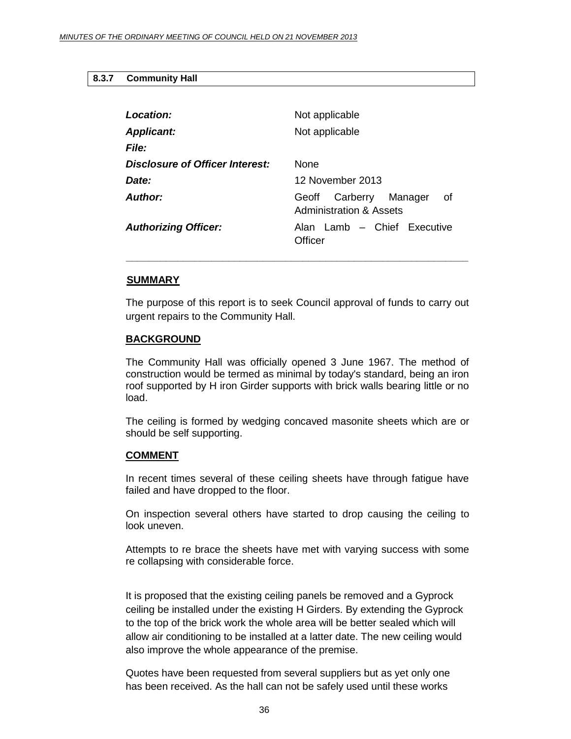## <span id="page-35-0"></span>**8.3.7 Community Hall**

| Location:                       | Not applicable                                                |
|---------------------------------|---------------------------------------------------------------|
| <b>Applicant:</b>               | Not applicable                                                |
| <b>File:</b>                    |                                                               |
| Disclosure of Officer Interest: | <b>None</b>                                                   |
| Date:                           | 12 November 2013                                              |
| Author:                         | Carberry<br>Manager<br>οf<br>Geoff<br>Administration & Assets |
| <b>Authorizing Officer:</b>     | Alan Lamb - Chief Executive<br>Officer                        |

## **SUMMARY**

The purpose of this report is to seek Council approval of funds to carry out urgent repairs to the Community Hall.

*\_\_\_\_\_\_\_\_\_\_\_\_\_\_\_\_\_\_\_\_\_\_\_\_\_\_\_\_\_\_\_\_\_\_\_\_\_\_\_\_\_\_\_\_\_\_\_\_\_\_\_\_\_\_\_\_\_\_\_\_*

#### **BACKGROUND**

The Community Hall was officially opened 3 June 1967. The method of construction would be termed as minimal by today's standard, being an iron roof supported by H iron Girder supports with brick walls bearing little or no load.

The ceiling is formed by wedging concaved masonite sheets which are or should be self supporting.

### **COMMENT**

In recent times several of these ceiling sheets have through fatigue have failed and have dropped to the floor.

On inspection several others have started to drop causing the ceiling to look uneven.

Attempts to re brace the sheets have met with varying success with some re collapsing with considerable force.

It is proposed that the existing ceiling panels be removed and a Gyprock ceiling be installed under the existing H Girders. By extending the Gyprock to the top of the brick work the whole area will be better sealed which will allow air conditioning to be installed at a latter date. The new ceiling would also improve the whole appearance of the premise.

Quotes have been requested from several suppliers but as yet only one has been received. As the hall can not be safely used until these works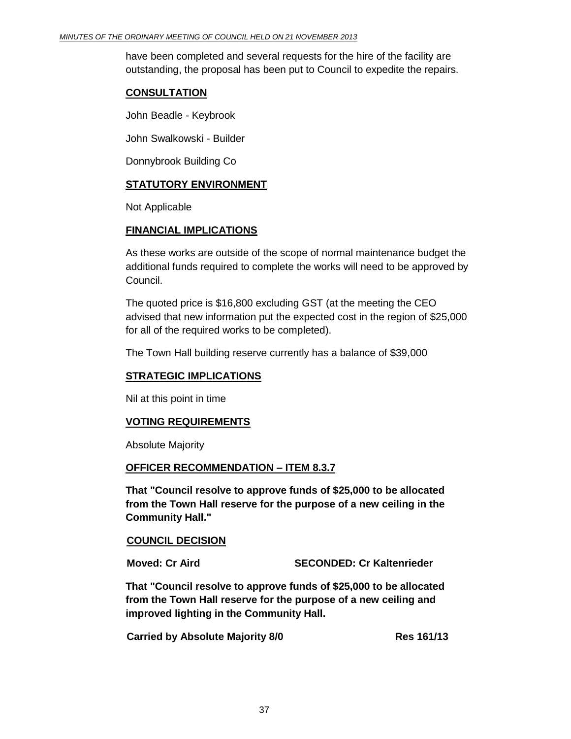have been completed and several requests for the hire of the facility are outstanding, the proposal has been put to Council to expedite the repairs.

## **CONSULTATION**

John Beadle - Keybrook

John Swalkowski - Builder

Donnybrook Building Co

# **STATUTORY ENVIRONMENT**

Not Applicable

## **FINANCIAL IMPLICATIONS**

As these works are outside of the scope of normal maintenance budget the additional funds required to complete the works will need to be approved by Council.

The quoted price is \$16,800 excluding GST (at the meeting the CEO advised that new information put the expected cost in the region of \$25,000 for all of the required works to be completed).

The Town Hall building reserve currently has a balance of \$39,000

## **STRATEGIC IMPLICATIONS**

Nil at this point in time

## **VOTING REQUIREMENTS**

Absolute Majority

## **OFFICER RECOMMENDATION – ITEM 8.3.7**

**That "Council resolve to approve funds of \$25,000 to be allocated from the Town Hall reserve for the purpose of a new ceiling in the Community Hall."**

## **COUNCIL DECISION**

**Moved: Cr Aird SECONDED: Cr Kaltenrieder**

**That "Council resolve to approve funds of \$25,000 to be allocated from the Town Hall reserve for the purpose of a new ceiling and improved lighting in the Community Hall.**

**Carried by Absolute Majority 8/0 Res 161/13**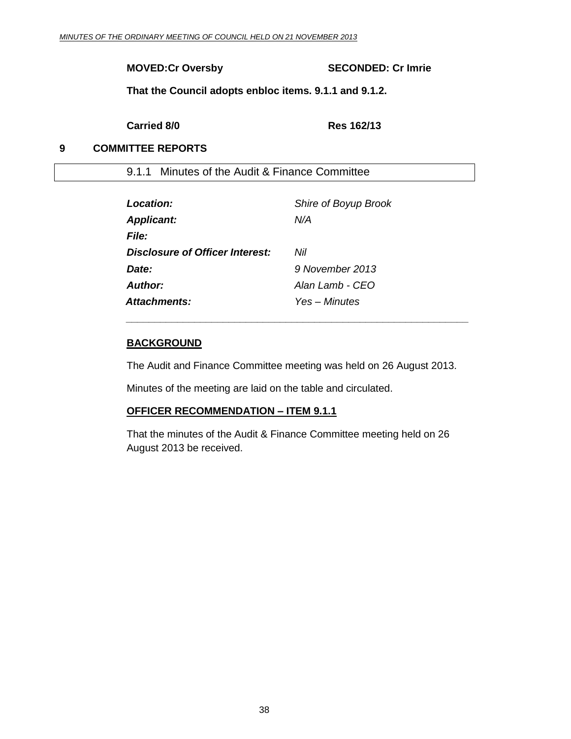# **MOVED:Cr Oversby SECONDED: Cr Imrie**

**That the Council adopts enbloc items. 9.1.1 and 9.1.2.**

**Carried 8/0 Res 162/13**

# <span id="page-37-0"></span>**9 COMMITTEE REPORTS**

9.1.1 Minutes of the Audit & Finance Committee

<span id="page-37-1"></span>

| Location:                       | Shire of Boyup Brook |
|---------------------------------|----------------------|
| <b>Applicant:</b>               | N/A                  |
| <b>File:</b>                    |                      |
| Disclosure of Officer Interest: | Nil                  |
| Date:                           | 9 November 2013      |
| Author:                         | Alan Lamb - CEO      |
| Attachments:                    | Yes – Minutes        |

## **BACKGROUND**

The Audit and Finance Committee meeting was held on 26 August 2013.

*\_\_\_\_\_\_\_\_\_\_\_\_\_\_\_\_\_\_\_\_\_\_\_\_\_\_\_\_\_\_\_\_\_\_\_\_\_\_\_\_\_\_\_\_\_\_\_\_\_\_\_\_\_\_\_\_\_\_\_\_*

Minutes of the meeting are laid on the table and circulated.

# **OFFICER RECOMMENDATION – ITEM 9.1.1**

That the minutes of the Audit & Finance Committee meeting held on 26 August 2013 be received.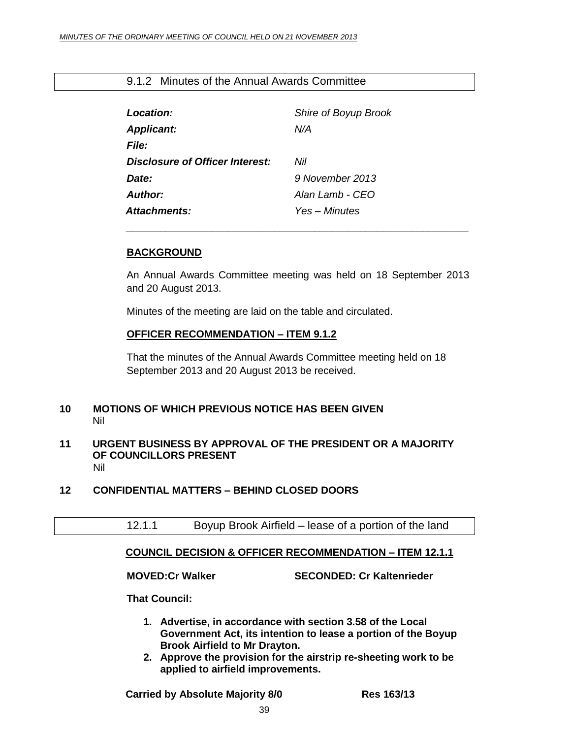# 9.1.2 Minutes of the Annual Awards Committee

<span id="page-38-0"></span>

| Location:                       | Shire of Boyup Brook |
|---------------------------------|----------------------|
| <b>Applicant:</b>               | N/A                  |
| File:                           |                      |
| Disclosure of Officer Interest: | Nil                  |
| Date:                           | 9 November 2013      |
| Author:                         | Alan Lamb - CFO      |
| <b>Attachments:</b>             | Yes – Minutes        |

## **BACKGROUND**

An Annual Awards Committee meeting was held on 18 September 2013 and 20 August 2013.

*\_\_\_\_\_\_\_\_\_\_\_\_\_\_\_\_\_\_\_\_\_\_\_\_\_\_\_\_\_\_\_\_\_\_\_\_\_\_\_\_\_\_\_\_\_\_\_\_\_\_\_\_\_\_\_\_\_\_\_\_*

Minutes of the meeting are laid on the table and circulated.

## **OFFICER RECOMMENDATION – ITEM 9.1.2**

That the minutes of the Annual Awards Committee meeting held on 18 September 2013 and 20 August 2013 be received.

## **10 MOTIONS OF WHICH PREVIOUS NOTICE HAS BEEN GIVEN** Nil

## <span id="page-38-1"></span>**11 URGENT BUSINESS BY APPROVAL OF THE PRESIDENT OR A MAJORITY OF COUNCILLORS PRESENT** Nil

# <span id="page-38-3"></span><span id="page-38-2"></span>**12 CONFIDENTIAL MATTERS – BEHIND CLOSED DOORS**

12.1.1 Boyup Brook Airfield – lease of a portion of the land

# <span id="page-38-4"></span>**COUNCIL DECISION & OFFICER RECOMMENDATION – ITEM 12.1.1**

**MOVED:Cr Walker SECONDED: Cr Kaltenrieder**

**That Council:**

- **1. Advertise, in accordance with section 3.58 of the Local Government Act, its intention to lease a portion of the Boyup Brook Airfield to Mr Drayton.**
- **2. Approve the provision for the airstrip re-sheeting work to be applied to airfield improvements.**

**Carried by Absolute Majority 8/0 Res 163/13**